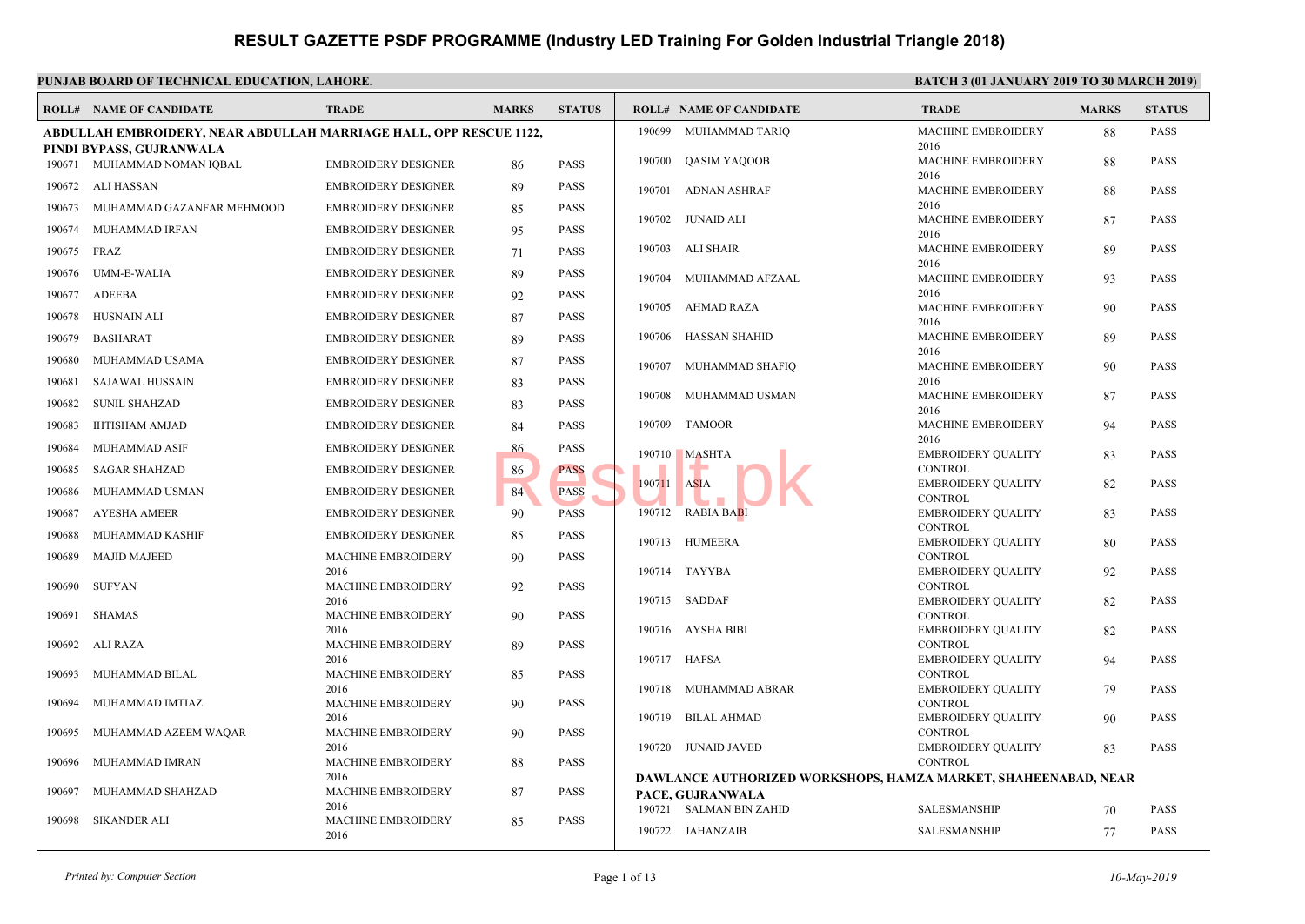#### **PUNJAB BOARD OF TECHNICAL EDUCATION, LAHORE.** BATCH 3 (01 JANUARY 30 MARCH 2019) **BATCH 3 (01 JANUARY 2019)**

|        | <b>ROLL# NAME OF CANDIDATE</b>                                                                 | <b>TRADE</b>                      | <b>MARKS</b> | <b>STATUS</b> |        | <b>ROLL# NAME OF CANDIDATE</b>          | <b>TRAL</b>                 |
|--------|------------------------------------------------------------------------------------------------|-----------------------------------|--------------|---------------|--------|-----------------------------------------|-----------------------------|
|        | ABDULLAH EMBROIDERY, NEAR ABDULLAH MARRIAGE HALL, OPP RESCUE 1122,<br>PINDI BYPASS, GUJRANWALA |                                   |              |               | 190699 | MUHAMMAD TARIO                          | <b>MACH</b><br>2016         |
|        | 190671 MUHAMMAD NOMAN IQBAL                                                                    | <b>EMBROIDERY DESIGNER</b>        | 86           | <b>PASS</b>   | 190700 | QASIM YAQOOB                            | MACH                        |
| 190672 | ALI HASSAN                                                                                     | <b>EMBROIDERY DESIGNER</b>        | 89           | PASS          |        |                                         | 2016                        |
|        | MUHAMMAD GAZANFAR MEHMOOD                                                                      |                                   |              | <b>PASS</b>   |        | 190701 ADNAN ASHRAF                     | <b>MACH</b><br>2016         |
| 190673 |                                                                                                | <b>EMBROIDERY DESIGNER</b>        | 85           |               |        | 190702 JUNAID ALI                       | MACH                        |
| 190674 | MUHAMMAD IRFAN                                                                                 | <b>EMBROIDERY DESIGNER</b>        | 95           | <b>PASS</b>   |        |                                         | 2016                        |
| 190675 | FRAZ                                                                                           | <b>EMBROIDERY DESIGNER</b>        | 71           | <b>PASS</b>   |        | 190703 ALI SHAIR                        | MACH                        |
| 190676 | UMM-E-WALIA                                                                                    | <b>EMBROIDERY DESIGNER</b>        | 89           | PASS          | 190704 | MUHAMMAD AFZAAL                         | 2016<br><b>MACH</b>         |
| 190677 | ADEEBA                                                                                         | <b>EMBROIDERY DESIGNER</b>        | 92           | <b>PASS</b>   |        |                                         | 2016                        |
| 190678 | <b>HUSNAIN ALI</b>                                                                             | <b>EMBROIDERY DESIGNER</b>        | 87           | PASS          |        | 190705 AHMAD RAZA                       | <b>MACH</b>                 |
|        |                                                                                                |                                   |              |               | 190706 |                                         | 2016<br><b>MACH</b>         |
| 190679 | <b>BASHARAT</b>                                                                                | <b>EMBROIDERY DESIGNER</b>        | 89           | <b>PASS</b>   |        | HASSAN SHAHID                           | 2016                        |
| 190680 | MUHAMMAD USAMA                                                                                 | <b>EMBROIDERY DESIGNER</b>        | 87           | <b>PASS</b>   |        | 190707 MUHAMMAD SHAFIQ                  | MACH                        |
| 190681 | <b>SAJAWAL HUSSAIN</b>                                                                         | <b>EMBROIDERY DESIGNER</b>        | 83           | <b>PASS</b>   |        |                                         | 2016                        |
| 190682 | SUNIL SHAHZAD                                                                                  | <b>EMBROIDERY DESIGNER</b>        | 83           | <b>PASS</b>   |        | 190708 MUHAMMAD USMAN                   | MACH<br>2016                |
| 190683 | <b>IHTISHAM AMJAD</b>                                                                          | <b>EMBROIDERY DESIGNER</b>        | 84           | <b>PASS</b>   |        | 190709 TAMOOR                           | <b>MACH</b>                 |
| 190684 | MUHAMMAD ASIF                                                                                  | <b>EMBROIDERY DESIGNER</b>        | 86           | PASS          |        |                                         | 2016                        |
| 190685 | <b>SAGAR SHAHZAD</b>                                                                           | <b>EMBROIDERY DESIGNER</b>        | 86           | <b>PASS</b>   |        | 190710 MASHTA                           | <b>EMBR</b><br><b>CONTI</b> |
| 190686 | MUHAMMAD USMAN                                                                                 | <b>EMBROIDERY DESIGNER</b>        | 84           | <b>PASS</b>   | 190711 | <b>ASIA</b>                             | <b>EMBR</b>                 |
|        |                                                                                                |                                   |              |               |        |                                         | <b>CONTI</b>                |
| 190687 | AYESHA AMEER                                                                                   | <b>EMBROIDERY DESIGNER</b>        | 90           | PASS          |        | 190712 RABIA BABI                       | <b>EMBR</b><br><b>CONTI</b> |
| 190688 | MUHAMMAD KASHIF                                                                                | <b>EMBROIDERY DESIGNER</b>        | 85           | PASS          |        | 190713 HUMEERA                          | <b>EMBR</b>                 |
| 190689 | <b>MAJID MAJEED</b>                                                                            | MACHINE EMBROIDERY                | 90           | <b>PASS</b>   |        |                                         | <b>CONTI</b>                |
|        | SUFYAN                                                                                         | 2016<br><b>MACHINE EMBROIDERY</b> |              | <b>PASS</b>   |        | 190714 TAYYBA                           | <b>EMBR</b><br><b>CONTI</b> |
| 190690 |                                                                                                | 2016                              | 92           |               |        | 190715 SADDAF                           | <b>EMBR</b>                 |
| 190691 | SHAMAS                                                                                         | <b>MACHINE EMBROIDERY</b>         | 90           | <b>PASS</b>   |        |                                         | <b>CONTI</b>                |
|        |                                                                                                | 2016                              |              |               |        | 190716 AYSHA BIBI                       | <b>EMBR</b>                 |
| 190692 | ALI RAZA                                                                                       | <b>MACHINE EMBROIDERY</b>         | 89           | PASS          |        |                                         | <b>CONTI</b>                |
| 190693 | MUHAMMAD BILAL                                                                                 | 2016<br><b>MACHINE EMBROIDERY</b> | 85           | <b>PASS</b>   |        | 190717 HAFSA                            | <b>EMBR</b><br><b>CONTI</b> |
|        |                                                                                                | 2016                              |              |               |        | 190718 MUHAMMAD ABRAR                   | <b>EMBR</b>                 |
| 190694 | MUHAMMAD IMTIAZ                                                                                | MACHINE EMBROIDERY                | 90           | <b>PASS</b>   |        |                                         | <b>CONTI</b>                |
| 190695 | MUHAMMAD AZEEM WAQAR                                                                           | 2016<br><b>MACHINE EMBROIDERY</b> | 90           | <b>PASS</b>   | 190719 | BILAL AHMAD                             | <b>EMBR</b><br><b>CONTI</b> |
|        |                                                                                                | 2016                              |              |               |        | 190720 JUNAID JAVED                     | <b>EMBR</b>                 |
| 190696 | MUHAMMAD IMRAN                                                                                 | <b>MACHINE EMBROIDERY</b>         | 88           | <b>PASS</b>   |        |                                         | <b>CONT</b>                 |
|        |                                                                                                | 2016                              |              |               |        | DAWLANCE AUTHORIZED WORKSHOPS, HAMZA M. |                             |
| 190697 | MUHAMMAD SHAHZAD                                                                               | MACHINE EMBROIDERY                | 87           | <b>PASS</b>   |        | PACE, GUJRANWALA                        |                             |
| 190698 | <b>SIKANDER ALI</b>                                                                            | 2016<br><b>MACHINE EMBROIDERY</b> | 85           | <b>PASS</b>   |        | 190721 SALMAN BIN ZAHID                 | <b>SALES</b>                |
|        |                                                                                                | 2016                              |              |               |        | 190722 JAHANZAIB                        | <b>SALES</b>                |
|        |                                                                                                |                                   |              |               |        |                                         |                             |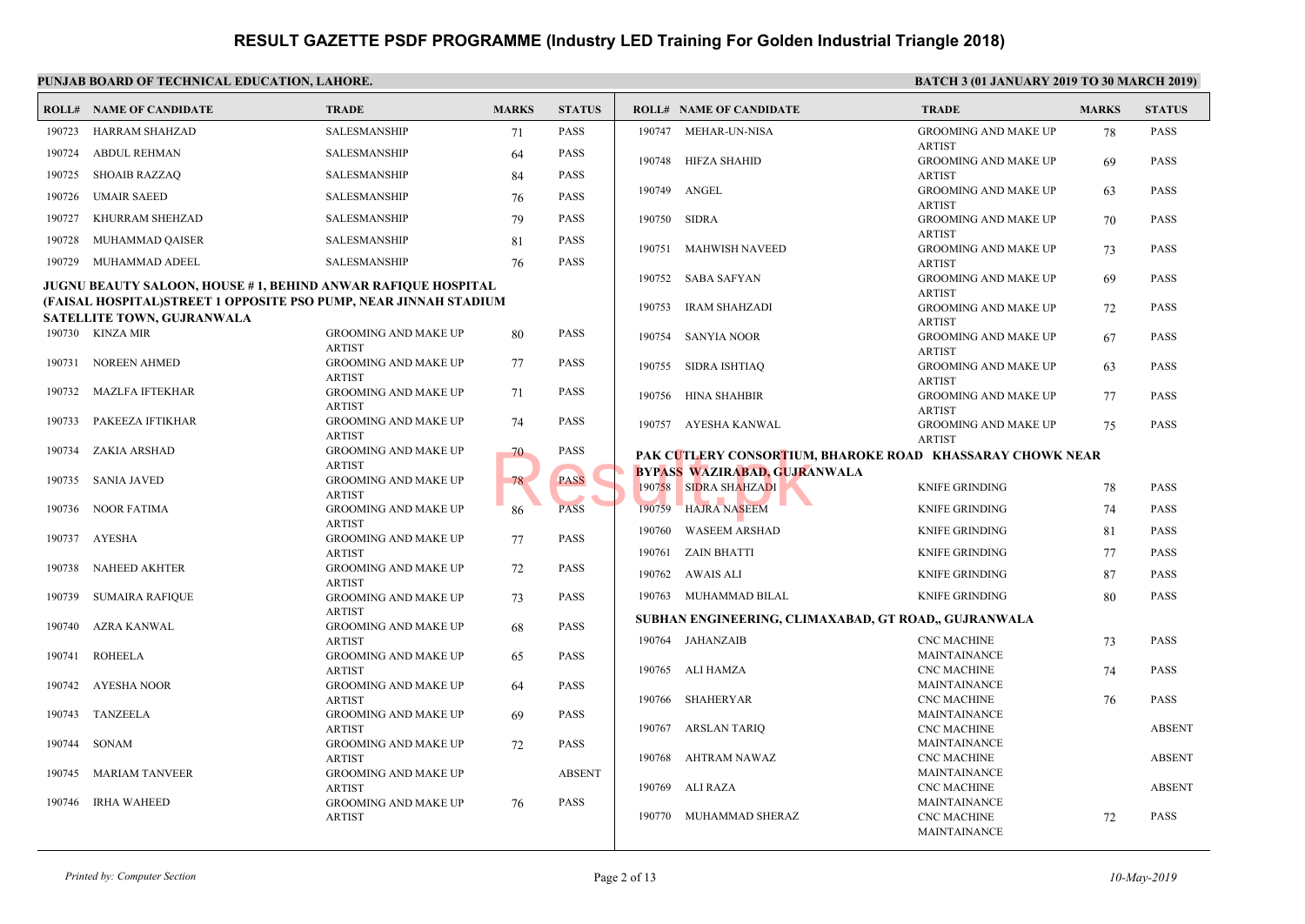|        | PUNJAB BOARD OF TECHNICAL EDUCATION, LAHORE.                     |                                              |              |               |        |                                                              | <b>BATC</b>                     |
|--------|------------------------------------------------------------------|----------------------------------------------|--------------|---------------|--------|--------------------------------------------------------------|---------------------------------|
|        | <b>ROLL# NAME OF CANDIDATE</b>                                   | <b>TRADE</b>                                 | <b>MARKS</b> | <b>STATUS</b> |        | <b>ROLL# NAME OF CANDIDATE</b>                               | <b>TRAD</b>                     |
| 190723 | HARRAM SHAHZAD                                                   | SALESMANSHIP                                 | 71           | <b>PASS</b>   |        | 190747 MEHAR-UN-NISA                                         | <b>GROO</b>                     |
| 190724 | ABDUL REHMAN                                                     | SALESMANSHIP                                 | 64           | <b>PASS</b>   | 190748 | HIFZA SHAHID                                                 | <b>ARTIS</b><br>GROO!           |
| 190725 | <b>SHOAIB RAZZAQ</b>                                             | SALESMANSHIP                                 | 84           | <b>PASS</b>   |        |                                                              | <b>ARTIS</b>                    |
| 190726 | <b>UMAIR SAEED</b>                                               | SALESMANSHIP                                 | 76           | <b>PASS</b>   |        | 190749 ANGEL                                                 | GROO!                           |
| 190727 | KHURRAM SHEHZAD                                                  | SALESMANSHIP                                 | 79           | <b>PASS</b>   |        | 190750 SIDRA                                                 | <b>ARTIS</b><br>GROO            |
| 190728 | MUHAMMAD QAISER                                                  | SALESMANSHIP                                 | 81           | <b>PASS</b>   |        |                                                              | <b>ARTIS</b>                    |
| 190729 | MUHAMMAD ADEEL                                                   | SALESMANSHIP                                 | 76           | <b>PASS</b>   |        | 190751 MAHWISH NAVEED                                        | GROO<br><b>ARTIS</b>            |
|        | JUGNU BEAUTY SALOON, HOUSE # 1, BEHIND ANWAR RAFIQUE HOSPITAL    |                                              |              |               |        | 190752 SABA SAFYAN                                           | GROO!                           |
|        | (FAISAL HOSPITAL)STREET 1 OPPOSITE PSO PUMP, NEAR JINNAH STADIUM |                                              |              |               | 190753 |                                                              | <b>ARTIS</b>                    |
|        | SATELLITE TOWN, GUJRANWALA                                       |                                              |              |               |        | IRAM SHAHZADI                                                | GROO!<br><b>ARTIS</b>           |
|        | 190730 KINZA MIR                                                 | <b>GROOMING AND MAKE UP</b><br><b>ARTIST</b> | 80           | <b>PASS</b>   | 190754 | <b>SANYIA NOOR</b>                                           | GROO                            |
| 190731 | <b>NOREEN AHMED</b>                                              | <b>GROOMING AND MAKE UP</b>                  | 77           | <b>PASS</b>   | 190755 | SIDRA ISHTIAQ                                                | <b>ARTIS</b><br>GROO!           |
|        |                                                                  | <b>ARTIST</b>                                |              |               |        |                                                              | <b>ARTIS</b>                    |
| 190732 | MAZLFA IFTEKHAR                                                  | <b>GROOMING AND MAKE UP</b><br><b>ARTIST</b> | 71           | <b>PASS</b>   |        | 190756 HINA SHAHBIR                                          | GROO!                           |
| 190733 | PAKEEZA IFTIKHAR                                                 | <b>GROOMING AND MAKE UP</b>                  | 74           | <b>PASS</b>   |        | 190757 AYESHA KANWAL                                         | <b>ARTIS</b><br><b>GROO</b>     |
|        |                                                                  | <b>ARTIST</b>                                |              |               |        |                                                              | <b>ARTIS</b>                    |
| 190734 | ZAKIA ARSHAD                                                     | <b>GROOMING AND MAKE UP</b><br><b>ARTIST</b> | $70 -$       | PASS          |        | PAK CUTLERY CONSORTIUM, BHAROKE ROAD KH                      |                                 |
| 190735 | <b>SANIA JAVED</b>                                               | <b>GROOMING AND MAKE UP</b>                  | 78           | <b>PASS</b>   |        | <b>BYPASS WAZIRABAD, GUJRANWALA</b><br>190758 SIDRA SHAHZADI | <b>KNIFE</b>                    |
| 190736 | NOOR FATIMA                                                      | <b>ARTIST</b><br><b>GROOMING AND MAKE UP</b> | 86           | <b>PASS</b>   | 190759 | <b>HAJRA NASEEM</b>                                          | <b>KNIFE</b>                    |
|        |                                                                  | <b>ARTIST</b>                                |              |               | 190760 | <b>WASEEM ARSHAD</b>                                         | <b>KNIFE</b>                    |
|        | 190737 AYESHA                                                    | <b>GROOMING AND MAKE UP</b>                  | 77           | <b>PASS</b>   | 190761 | ZAIN BHATTI                                                  | <b>KNIFE</b>                    |
| 190738 | NAHEED AKHTER                                                    | <b>ARTIST</b><br><b>GROOMING AND MAKE UP</b> | 72           | <b>PASS</b>   |        |                                                              |                                 |
|        |                                                                  | <b>ARTIST</b>                                |              |               |        | 190762 AWAIS ALI                                             | <b>KNIFE</b>                    |
| 190739 | SUMAIRA RAFIQUE                                                  | <b>GROOMING AND MAKE UP</b><br><b>ARTIST</b> | 73           | <b>PASS</b>   |        | 190763 MUHAMMAD BILAL                                        | <b>KNIFE</b>                    |
| 190740 | AZRA KANWAL                                                      | <b>GROOMING AND MAKE UP</b>                  | 68           | <b>PASS</b>   |        | SUBHAN ENGINEERING, CLIMAXABAD, GT ROAD,, Q                  |                                 |
|        |                                                                  | <b>ARTIST</b>                                |              |               |        | 190764 JAHANZAIB                                             | CNC <sub>N</sub>                |
| 190741 | <b>ROHEELA</b>                                                   | <b>GROOMING AND MAKE UP</b><br><b>ARTIST</b> | 65           | <b>PASS</b>   |        | 190765 ALI HAMZA                                             | <b>MAIN</b><br>CNC <sub>N</sub> |
| 190742 | AYESHA NOOR                                                      | <b>GROOMING AND MAKE UP</b>                  | 64           | <b>PASS</b>   |        |                                                              | <b>MAIN</b>                     |
| 190743 | TANZEELA                                                         | <b>ARTIST</b><br><b>GROOMING AND MAKE UP</b> |              | <b>PASS</b>   |        | 190766 SHAHERYAR                                             | CNC <sub>N</sub><br><b>MAIN</b> |
|        |                                                                  | <b>ARTIST</b>                                | 69           |               |        | 190767 ARSLAN TARIO                                          | CNC <sub>N</sub>                |
| 190744 | <b>SONAM</b>                                                     | <b>GROOMING AND MAKE UP</b>                  | 72           | <b>PASS</b>   |        |                                                              | <b>MAIN</b>                     |
| 190745 | MARIAM TANVEER                                                   | <b>ARTIST</b><br><b>GROOMING AND MAKE UP</b> |              | <b>ABSENT</b> |        | 190768 AHTRAM NAWAZ                                          | CNC <sub>N</sub><br><b>MAIN</b> |
|        |                                                                  | <b>ARTIST</b>                                |              |               |        | 190769 ALI RAZA                                              | CNC <sub>N</sub>                |
| 190746 | <b>IRHA WAHEED</b>                                               | <b>GROOMING AND MAKE UP</b>                  | 76           | <b>PASS</b>   |        |                                                              | <b>MAIN</b>                     |
|        |                                                                  | <b>ARTIST</b>                                |              |               |        | 190770 MUHAMMAD SHERAZ                                       | CNC <sub>N</sub><br><b>MAIN</b> |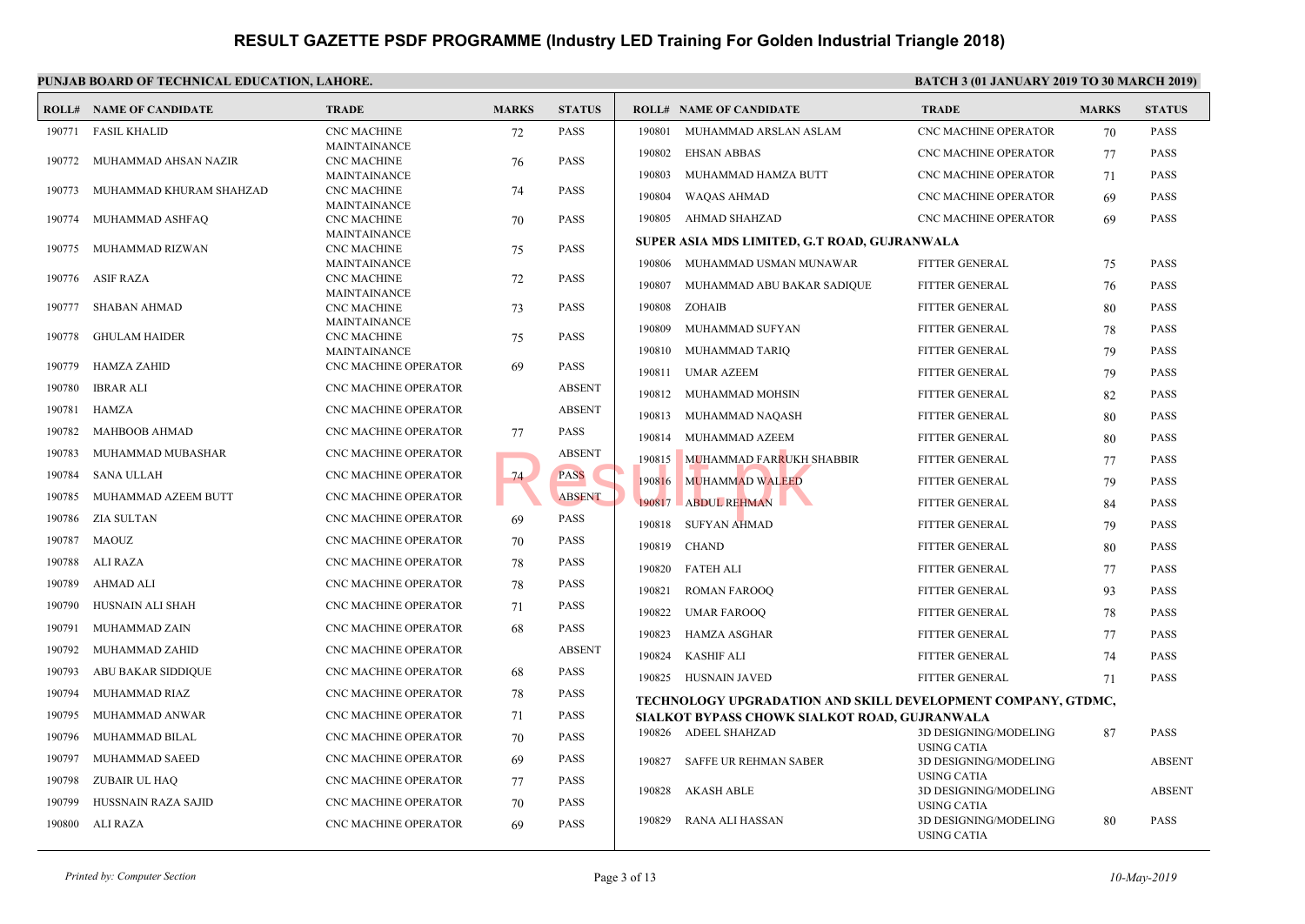|        | <b>ROLL# NAME OF CANDIDATE</b> | <b>TRADE</b>                       | <b>MARKS</b> | <b>STATUS</b> |        | <b>ROLL# NAME OF CANDIDATE</b>              | <b>TRAL</b>           |
|--------|--------------------------------|------------------------------------|--------------|---------------|--------|---------------------------------------------|-----------------------|
| 190771 | FASIL KHALID                   | <b>CNC MACHINE</b>                 | 72           | <b>PASS</b>   | 190801 | MUHAMMAD ARSLAN ASLAM                       | CNC <sub>N</sub>      |
|        |                                | MAINTAINANCE                       |              |               | 190802 | <b>EHSAN ABBAS</b>                          | CNC <sub>N</sub>      |
|        | 190772 MUHAMMAD AHSAN NAZIR    | <b>CNC MACHINE</b><br>MAINTAINANCE | 76           | <b>PASS</b>   | 190803 | MUHAMMAD HAMZA BUTT                         | CNC <sub>N</sub>      |
| 190773 | MUHAMMAD KHURAM SHAHZAD        | <b>CNC MACHINE</b>                 | 74           | <b>PASS</b>   |        |                                             | CNC <sub>N</sub>      |
|        |                                | MAINTAINANCE                       |              |               | 190804 | WAQAS AHMAD                                 |                       |
| 190774 | MUHAMMAD ASHFAQ                | <b>CNC MACHINE</b>                 | 70           | <b>PASS</b>   | 190805 | AHMAD SHAHZAD                               | CNC <sub>N</sub>      |
| 190775 | MUHAMMAD RIZWAN                | MAINTAINANCE<br><b>CNC MACHINE</b> | 75           | <b>PASS</b>   |        | SUPER ASIA MDS LIMITED, G.T ROAD, GUJRANWAL |                       |
|        |                                | <b>MAINTAINANCE</b>                |              |               | 190806 | MUHAMMAD USMAN MUNAWAR                      | <b>FITTEI</b>         |
| 190776 | ASIF RAZA                      | <b>CNC MACHINE</b>                 | 72           | <b>PASS</b>   | 190807 | MUHAMMAD ABU BAKAR SADIQUE                  | <b>FITTEI</b>         |
|        | <b>SHABAN AHMAD</b>            | <b>MAINTAINANCE</b>                |              | <b>PASS</b>   | 190808 | ZOHAIB                                      | <b>FITTEI</b>         |
| 190777 |                                | <b>CNC MACHINE</b><br>MAINTAINANCE | 73           |               |        |                                             |                       |
| 190778 | <b>GHULAM HAIDER</b>           | <b>CNC MACHINE</b>                 | 75           | <b>PASS</b>   | 190809 | MUHAMMAD SUFYAN                             | <b>FITTEI</b>         |
|        |                                | MAINTAINANCE                       |              |               | 190810 | MUHAMMAD TARIQ                              | <b>FITTE</b>          |
| 190779 | HAMZA ZAHID                    | CNC MACHINE OPERATOR               | 69           | <b>PASS</b>   | 190811 | UMAR AZEEM                                  | <b>FITTE</b>          |
| 190780 | <b>IBRAR ALI</b>               | CNC MACHINE OPERATOR               |              | <b>ABSENT</b> | 190812 | MUHAMMAD MOHSIN                             | <b>FITTEI</b>         |
| 190781 | <b>HAMZA</b>                   | CNC MACHINE OPERATOR               |              | <b>ABSENT</b> | 190813 | MUHAMMAD NAQASH                             | <b>FITTEI</b>         |
| 190782 | <b>MAHBOOB AHMAD</b>           | CNC MACHINE OPERATOR               | 77           | <b>PASS</b>   | 190814 | MUHAMMAD AZEEM                              | <b>FITTEI</b>         |
| 190783 | MUHAMMAD MUBASHAR              | CNC MACHINE OPERATOR               |              | <b>ABSENT</b> | 190815 | MUHAMMAD FARRUKH SHABBIR                    | <b>FITTEI</b>         |
| 190784 | <b>SANA ULLAH</b>              | CNC MACHINE OPERATOR               | 74           | <b>PASS</b>   | 190816 | <b>MUHAMMAD WALEED</b>                      | <b>FITTE</b>          |
| 190785 | MUHAMMAD AZEEM BUTT            | <b>CNC MACHINE OPERATOR</b>        |              | <b>ABSENT</b> | 190817 | <b>ABDUL REHMAN</b>                         | <b>FITTE</b>          |
| 190786 | ZIA SULTAN                     | CNC MACHINE OPERATOR               | 69           | <b>PASS</b>   | 190818 | SUFYAN AHMAD                                | <b>FITTEI</b>         |
| 190787 | MAOUZ                          | <b>CNC MACHINE OPERATOR</b>        | 70           | <b>PASS</b>   | 190819 | <b>CHAND</b>                                | <b>FITTEI</b>         |
| 190788 | ALI RAZA                       | <b>CNC MACHINE OPERATOR</b>        | 78           | <b>PASS</b>   | 190820 | <b>FATEH ALI</b>                            | <b>FITTEI</b>         |
| 190789 | AHMAD ALI                      | CNC MACHINE OPERATOR               | 78           | <b>PASS</b>   | 190821 | <b>ROMAN FAROOQ</b>                         | <b>FITTEI</b>         |
| 190790 | HUSNAIN ALI SHAH               | <b>CNC MACHINE OPERATOR</b>        | 71           | <b>PASS</b>   | 190822 | UMAR FAROOQ                                 | <b>FITTEI</b>         |
| 190791 | MUHAMMAD ZAIN                  | <b>CNC MACHINE OPERATOR</b>        | 68           | <b>PASS</b>   | 190823 | <b>HAMZA ASGHAR</b>                         | <b>FITTE</b>          |
| 190792 | MUHAMMAD ZAHID                 | CNC MACHINE OPERATOR               |              | <b>ABSENT</b> | 190824 | <b>KASHIF ALI</b>                           | <b>FITTE</b>          |
| 190793 | ABU BAKAR SIDDIQUE             | <b>CNC MACHINE OPERATOR</b>        | 68           | <b>PASS</b>   |        | 190825 HUSNAIN JAVED                        | <b>FITTE</b>          |
| 190794 | MUHAMMAD RIAZ                  | CNC MACHINE OPERATOR               | 78           | <b>PASS</b>   |        | TECHNOLOGY UPGRADATION AND SKILL DEVELOI    |                       |
| 190795 | MUHAMMAD ANWAR                 | CNC MACHINE OPERATOR               | 71           | <b>PASS</b>   |        | SIALKOT BYPASS CHOWK SIALKOT ROAD, GUJRAN   |                       |
| 190796 | MUHAMMAD BILAL                 | <b>CNC MACHINE OPERATOR</b>        | 70           | <b>PASS</b>   |        | 190826 ADEEL SHAHZAD                        | 3D DE                 |
| 190797 | MUHAMMAD SAEED                 | <b>CNC MACHINE OPERATOR</b>        | 69           | <b>PASS</b>   | 190827 | SAFFE UR REHMAN SABER                       | <b>USINC</b><br>3D DE |
| 190798 | ZUBAIR UL HAQ                  | <b>CNC MACHINE OPERATOR</b>        | 77           | <b>PASS</b>   |        |                                             | <b>USING</b>          |
| 190799 | HUSSNAIN RAZA SAJID            | <b>CNC MACHINE OPERATOR</b>        | 70           | <b>PASS</b>   |        | 190828 AKASH ABLE                           | 3D DE<br><b>USING</b> |
| 190800 | ALI RAZA                       | <b>CNC MACHINE OPERATOR</b>        | 69           | <b>PASS</b>   | 190829 | RANA ALI HASSAN                             | 3D DE                 |
|        |                                |                                    |              |               |        |                                             | <b>USING</b>          |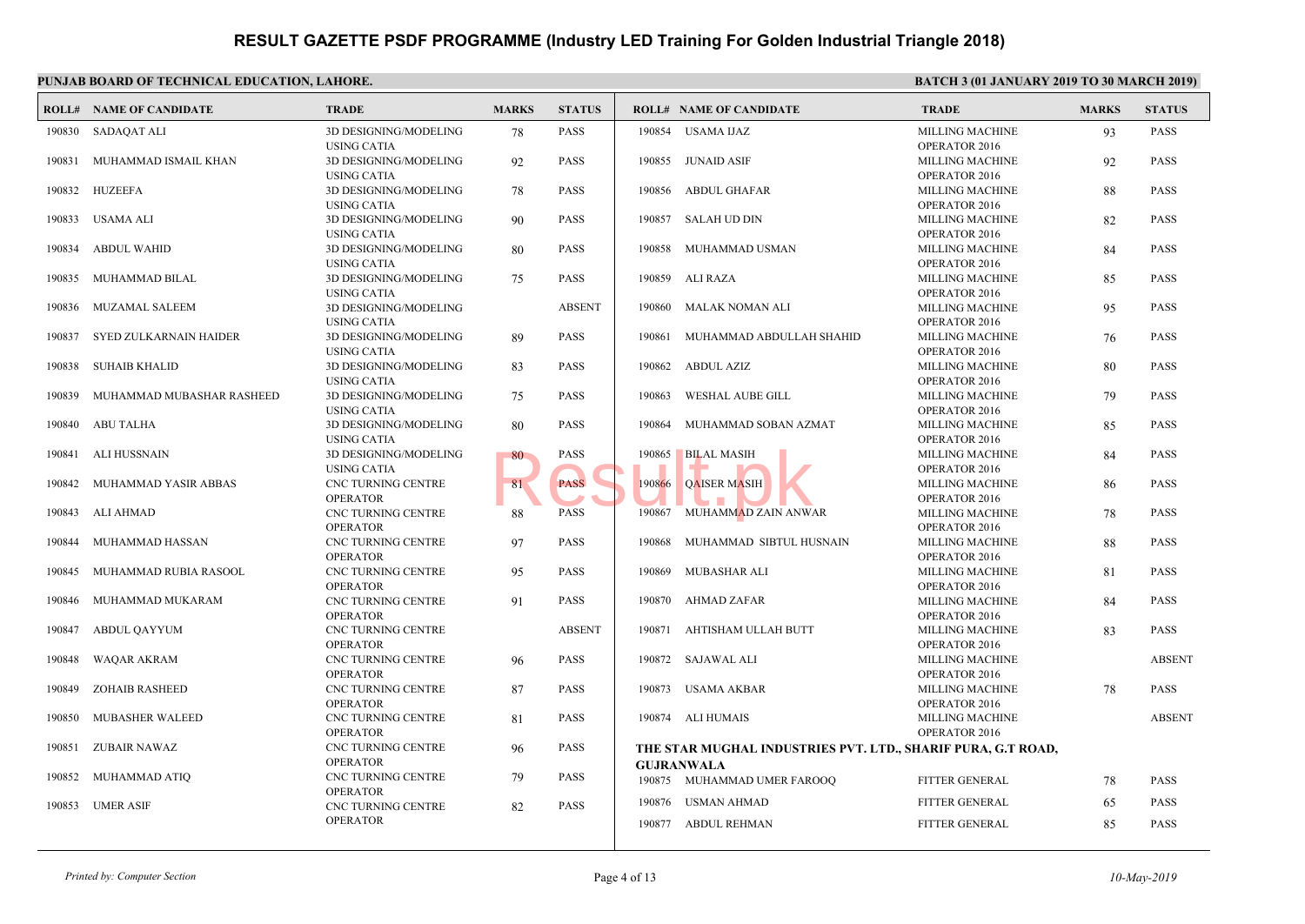|        | <b>ROLL# NAME OF CANDIDATE</b> | <b>TRADE</b>                                 | <b>MARKS</b> | <b>STATUS</b> |        | <b>ROLL# NAME OF CANDIDATE</b>                                    | <b>TRAL</b>                    |
|--------|--------------------------------|----------------------------------------------|--------------|---------------|--------|-------------------------------------------------------------------|--------------------------------|
|        | 190830 SADAQAT ALI             | 3D DESIGNING/MODELING<br><b>USING CATIA</b>  | 78           | <b>PASS</b>   |        | 190854 USAMA IJAZ                                                 | <b>MILLI</b><br>OPERA          |
| 190831 | MUHAMMAD ISMAIL KHAN           | 3D DESIGNING/MODELING<br><b>USING CATIA</b>  | 92           | <b>PASS</b>   |        | 190855 JUNAID ASIF                                                | <b>MILLI</b><br>OPER/          |
| 190832 | HUZEEFA                        | 3D DESIGNING/MODELING<br><b>USING CATIA</b>  | 78           | <b>PASS</b>   |        | 190856 ABDUL GHAFAR                                               | <b>MILLI</b><br>OPERA          |
| 190833 | USAMA ALI                      | 3D DESIGNING/MODELING<br><b>USING CATIA</b>  | 90           | PASS          |        | 190857 SALAH UD DIN                                               | <b>MILLI</b><br>OPER/          |
| 190834 | ABDUL WAHID                    | 3D DESIGNING/MODELING<br><b>USING CATIA</b>  | 80           | <b>PASS</b>   |        | 190858 MUHAMMAD USMAN                                             | <b>MILLI</b><br>OPER/          |
| 190835 | MUHAMMAD BILAL                 | 3D DESIGNING/MODELING<br><b>USING CATIA</b>  | 75           | <b>PASS</b>   |        | 190859 ALI RAZA                                                   | <b>MILLI</b><br>OPER/          |
| 190836 | MUZAMAL SALEEM                 | 3D DESIGNING/MODELING<br><b>USING CATIA</b>  |              | <b>ABSENT</b> |        | 190860 MALAK NOMAN ALI                                            | <b>MILLI</b><br>OPERA          |
| 190837 | SYED ZULKARNAIN HAIDER         | 3D DESIGNING/MODELING<br><b>USING CATIA</b>  | 89           | <b>PASS</b>   |        | 190861 MUHAMMAD ABDULLAH SHAHID                                   | <b>MILLI</b><br>OPERA          |
| 190838 | SUHAIB KHALID                  | 3D DESIGNING/MODELING<br><b>USING CATIA</b>  | 83           | <b>PASS</b>   | 190862 | ABDUL AZIZ                                                        | <b>MILLI</b><br>OPER/          |
| 190839 | MUHAMMAD MUBASHAR RASHEED      | 3D DESIGNING/MODELING<br><b>USING CATIA</b>  | 75           | <b>PASS</b>   | 190863 | WESHAL AUBE GILL                                                  | <b>MILLI</b><br>OPERA          |
| 190840 | ABU TALHA                      | 3D DESIGNING/MODELING<br><b>USING CATIA</b>  | 80           | <b>PASS</b>   | 190864 | MUHAMMAD SOBAN AZMAT                                              | MILLI<br>OPER/                 |
| 190841 | ALI HUSSNAIN                   | 3D DESIGNING/MODELING<br><b>USING CATIA</b>  | 80           | <b>PASS</b>   | 190865 | <b>BILAL MASIH</b>                                                | <b>MILLI</b><br>OPER/          |
| 190842 | MUHAMMAD YASIR ABBAS           | <b>CNC TURNING CENTRE</b><br><b>OPERATOR</b> | 81           | <b>PASS</b>   | 190866 | <b>QAISER MASIH</b>                                               | <b>MILLI</b><br>OPER/          |
| 190843 | ALI AHMAD                      | CNC TURNING CENTRE<br><b>OPERATOR</b>        | 88           | <b>PASS</b>   |        | 190867 MUHAMMAD ZAIN ANWAR                                        | <b>MILLI</b><br>OPERA          |
| 190844 | MUHAMMAD HASSAN                | <b>CNC TURNING CENTRE</b><br><b>OPERATOR</b> | 97           | <b>PASS</b>   | 190868 | MUHAMMAD SIBTUL HUSNAIN                                           | <b>MILLI</b><br>OPERA          |
| 190845 | MUHAMMAD RUBIA RASOOL          | <b>CNC TURNING CENTRE</b><br><b>OPERATOR</b> | 95           | <b>PASS</b>   | 190869 | MUBASHAR ALI                                                      | <b>MILLI</b><br>OPER/          |
| 190846 | MUHAMMAD MUKARAM               | CNC TURNING CENTRE<br><b>OPERATOR</b>        | 91           | <b>PASS</b>   |        | 190870 AHMAD ZAFAR                                                | <b>MILLI</b><br>OPERA          |
| 190847 | <b>ABDUL QAYYUM</b>            | CNC TURNING CENTRE<br><b>OPERATOR</b>        |              | <b>ABSENT</b> |        | 190871 AHTISHAM ULLAH BUTT                                        | <b>MILLI</b><br>OPERA          |
| 190848 | WAQAR AKRAM                    | CNC TURNING CENTRE<br><b>OPERATOR</b>        | 96           | <b>PASS</b>   |        | 190872 SAJAWAL ALI                                                | <b>MILLI</b><br>OPER/          |
| 190849 | <b>ZOHAIB RASHEED</b>          | CNC TURNING CENTRE<br><b>OPERATOR</b>        | 87           | <b>PASS</b>   |        | 190873 USAMA AKBAR                                                | <b>MILLI</b><br><b>OPERA</b>   |
| 190850 | MUBASHER WALEED                | CNC TURNING CENTRE<br><b>OPERATOR</b>        | 81           | PASS          |        | 190874 ALI HUMAIS                                                 | MILLI<br>OPER/                 |
| 190851 | ZUBAIR NAWAZ                   | CNC TURNING CENTRE<br><b>OPERATOR</b>        | 96           | <b>PASS</b>   |        | THE STAR MUGHAL INDUSTRIES PVT. LTD., SHARIF<br><b>GUJRANWALA</b> |                                |
| 190852 | MUHAMMAD ATIQ                  | CNC TURNING CENTRE<br><b>OPERATOR</b>        | 79           | <b>PASS</b>   |        | 190875 MUHAMMAD UMER FAROOQ                                       | <b>FITTEI</b>                  |
| 190853 | <b>UMER ASIF</b>               | CNC TURNING CENTRE<br><b>OPERATOR</b>        | 82           | <b>PASS</b>   |        | 190876 USMAN AHMAD<br>190877 ABDUL REHMAN                         | <b>FITTEI</b><br><b>FITTEI</b> |
|        |                                |                                              |              |               |        |                                                                   |                                |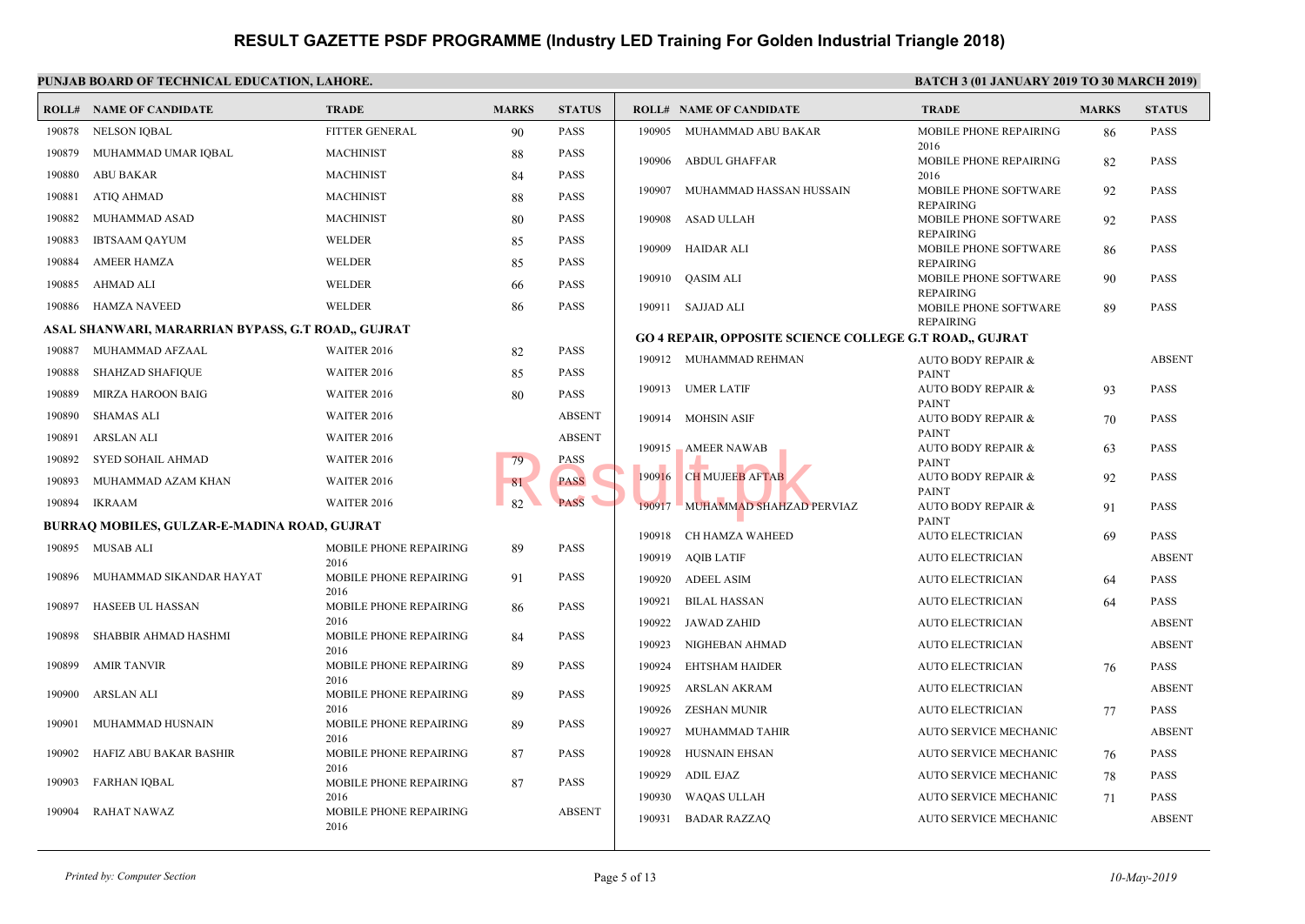|        | PUNJAB BOARD OF TECHNICAL EDUCATION, LAHORE.       |                                |              |               |        |                                                     | <b>BATC</b>                  |
|--------|----------------------------------------------------|--------------------------------|--------------|---------------|--------|-----------------------------------------------------|------------------------------|
|        | <b>ROLL# NAME OF CANDIDATE</b>                     | <b>TRADE</b>                   | <b>MARKS</b> | <b>STATUS</b> |        | <b>ROLL# NAME OF CANDIDATE</b>                      | <b>TRAL</b>                  |
| 190878 | NELSON IQBAL                                       | FITTER GENERAL                 | 90           | <b>PASS</b>   | 190905 | MUHAMMAD ABU BAKAR                                  | <b>MOBII</b>                 |
| 190879 | MUHAMMAD UMAR IQBAL                                | <b>MACHINIST</b>               | 88           | <b>PASS</b>   | 190906 | ABDUL GHAFFAR                                       | 2016<br><b>MOBII</b>         |
| 190880 | <b>ABU BAKAR</b>                                   | <b>MACHINIST</b>               | 84           | <b>PASS</b>   |        |                                                     | 2016                         |
| 190881 | ATIQ AHMAD                                         | <b>MACHINIST</b>               | 88           | <b>PASS</b>   | 190907 | MUHAMMAD HASSAN HUSSAIN                             | <b>MOBII</b><br><b>REPAI</b> |
| 190882 | MUHAMMAD ASAD                                      | <b>MACHINIST</b>               | 80           | <b>PASS</b>   | 190908 | ASAD ULLAH                                          | <b>MOBII</b>                 |
| 190883 | <b>IBTSAAM QAYUM</b>                               | WELDER                         | 85           | <b>PASS</b>   |        | 190909 HAIDAR ALI                                   | <b>REPAI</b><br><b>MOBII</b> |
| 190884 | <b>AMEER HAMZA</b>                                 | WELDER                         | 85           | <b>PASS</b>   |        |                                                     | <b>REPAI</b>                 |
| 190885 | AHMAD ALI                                          | <b>WELDER</b>                  | 66           | <b>PASS</b>   |        | 190910 QASIM ALI                                    | <b>MOBII</b>                 |
| 190886 | HAMZA NAVEED                                       | WELDER                         | 86           | <b>PASS</b>   |        | 190911 SAJJAD ALI                                   | <b>REPAI</b><br><b>MOBII</b> |
|        | ASAL SHANWARI, MARARRIAN BYPASS, G.T ROAD,, GUJRAT |                                |              |               |        |                                                     | <b>REPAI</b>                 |
| 190887 | MUHAMMAD AFZAAL                                    | WAITER 2016                    | 82           | PASS          |        | <b>GO 4 REPAIR, OPPOSITE SCIENCE COLLEGE G.T RO</b> |                              |
| 190888 | <b>SHAHZAD SHAFIQUE</b>                            | WAITER 2016                    | 85           | PASS          |        | 190912 MUHAMMAD REHMAN                              | <b>AUTO</b><br><b>PAINT</b>  |
| 190889 | MIRZA HAROON BAIG                                  | WAITER 2016                    | 80           | PASS          |        | 190913 UMER LATIF                                   | <b>AUTO</b>                  |
| 190890 | <b>SHAMAS ALI</b>                                  | WAITER 2016                    |              | <b>ABSENT</b> |        | 190914 MOHSIN ASIF                                  | <b>PAINT</b><br><b>AUTO</b>  |
| 190891 | ARSLAN ALI                                         | WAITER 2016                    |              | <b>ABSENT</b> |        |                                                     | <b>PAINT</b>                 |
| 190892 | SYED SOHAIL AHMAD                                  | WAITER 2016                    | 79           | PASS          | 190915 | AMEER NAWAB                                         | <b>AUTO</b><br><b>PAINT</b>  |
| 190893 | MUHAMMAD AZAM KHAN                                 | WAITER 2016                    | 81           | <b>PASS</b>   | 190916 | <b>CH MUJEEB AFTAB</b>                              | <b>AUTO</b>                  |
| 190894 | IKRAAM                                             | WAITER 2016                    | 82           | <b>PASS</b>   | 190917 | - MUHAMMAD SHAHZAD PERVIAZ                          | <b>PAINT</b><br><b>AUTO</b>  |
|        | BURRAQ MOBILES, GULZAR-E-MADINA ROAD, GUJRAT       |                                |              |               |        |                                                     | <b>PAINT</b>                 |
|        | 190895 MUSAB ALI                                   | MOBILE PHONE REPAIRING         | 89           | <b>PASS</b>   | 190918 | CH HAMZA WAHEED                                     | <b>AUTO</b>                  |
|        |                                                    | 2016                           |              |               | 190919 | <b>AQIB LATIF</b>                                   | <b>AUTO</b>                  |
| 190896 | MUHAMMAD SIKANDAR HAYAT                            | MOBILE PHONE REPAIRING<br>2016 | 91           | <b>PASS</b>   | 190920 | <b>ADEEL ASIM</b>                                   | <b>AUTO</b>                  |
| 190897 | HASEEB UL HASSAN                                   | MOBILE PHONE REPAIRING         | 86           | <b>PASS</b>   | 190921 | <b>BILAL HASSAN</b>                                 | <b>AUTO</b>                  |
| 190898 | SHABBIR AHMAD HASHMI                               | 2016<br>MOBILE PHONE REPAIRING | 84           | <b>PASS</b>   | 190922 | JAWAD ZAHID                                         | <b>AUTO</b>                  |
|        |                                                    | 2016                           |              |               | 190923 | NIGHEBAN AHMAD                                      | <b>AUTO</b>                  |
| 190899 | <b>AMIR TANVIR</b>                                 | MOBILE PHONE REPAIRING<br>2016 | -89          | <b>PASS</b>   | 190924 | <b>EHTSHAM HAIDER</b>                               | <b>AUTO</b>                  |
| 190900 | ARSLAN ALI                                         | MOBILE PHONE REPAIRING         | -89          | <b>PASS</b>   | 190925 | <b>ARSLAN AKRAM</b>                                 | <b>AUTO</b>                  |
| 190901 | MUHAMMAD HUSNAIN                                   | 2016<br>MOBILE PHONE REPAIRING |              | <b>PASS</b>   | 190926 | ZESHAN MUNIR                                        | <b>AUTO</b>                  |
|        |                                                    | 2016                           | 89           |               | 190927 | MUHAMMAD TAHIR                                      | <b>AUTO</b>                  |
| 190902 | HAFIZ ABU BAKAR BASHIR                             | MOBILE PHONE REPAIRING         | 87           | <b>PASS</b>   | 190928 | HUSNAIN EHSAN                                       | <b>AUTO</b>                  |
| 190903 | FARHAN IQBAL                                       | 2016<br>MOBILE PHONE REPAIRING | 87           | <b>PASS</b>   | 190929 | ADIL EJAZ                                           | <b>AUTO</b>                  |
|        |                                                    | 2016                           |              |               | 190930 | <b>WAQAS ULLAH</b>                                  | <b>AUTO</b>                  |
| 190904 | <b>RAHAT NAWAZ</b>                                 | MOBILE PHONE REPAIRING<br>2016 |              | <b>ABSENT</b> | 190931 | <b>BADAR RAZZAQ</b>                                 | <b>AUTO</b>                  |
|        |                                                    |                                |              |               |        |                                                     |                              |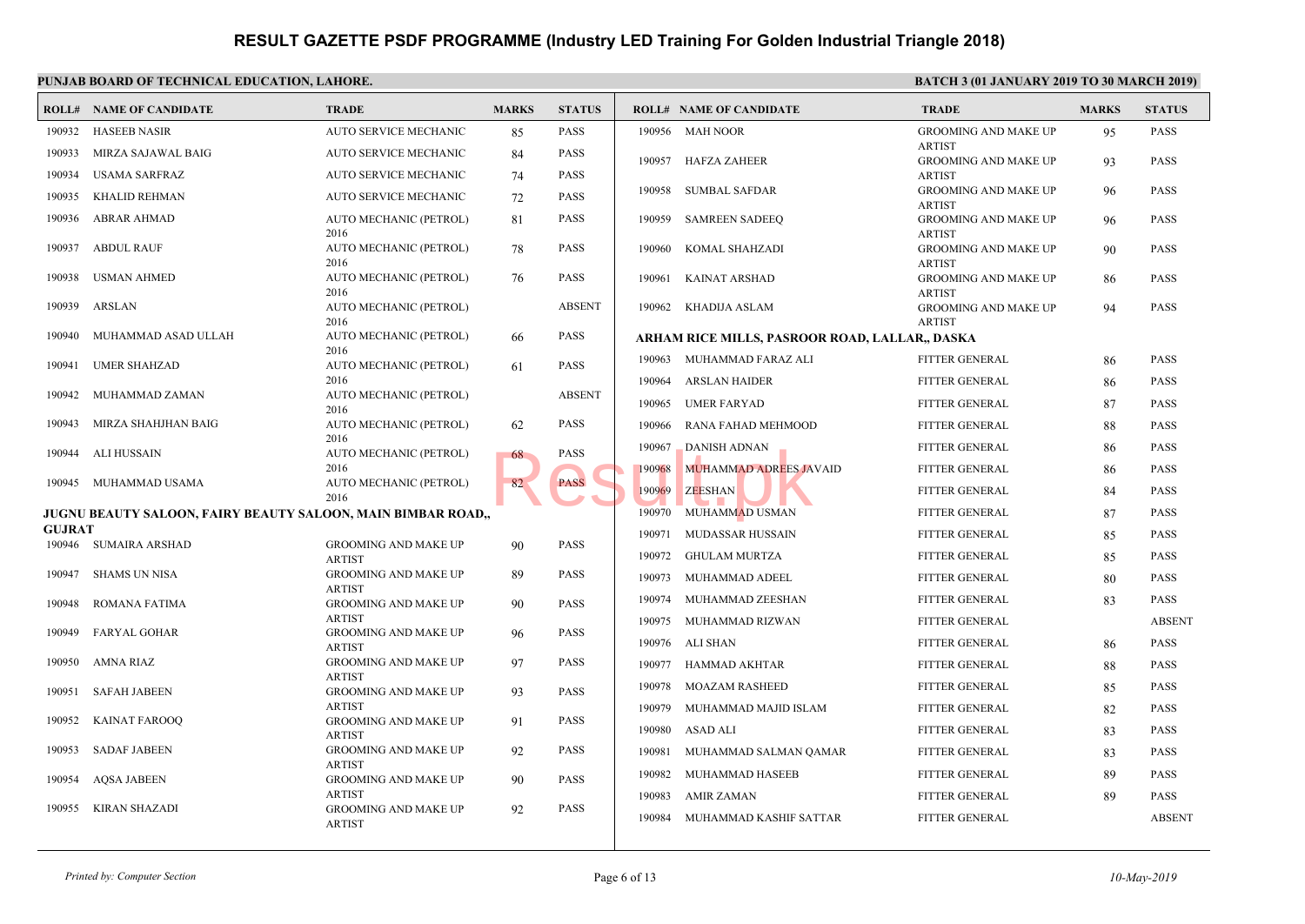|               | PUNJAB BOARD OF TECHNICAL EDUCATION, LAHORE.                 |                                              |              | <b>BATC</b>   |        |                                             |                             |
|---------------|--------------------------------------------------------------|----------------------------------------------|--------------|---------------|--------|---------------------------------------------|-----------------------------|
|               | <b>ROLL# NAME OF CANDIDATE</b>                               | <b>TRADE</b>                                 | <b>MARKS</b> | <b>STATUS</b> |        | <b>ROLL# NAME OF CANDIDATE</b>              | <b>TRAL</b>                 |
| 190932        | <b>HASEEB NASIR</b>                                          | AUTO SERVICE MECHANIC                        | 85           | PASS          |        | 190956 MAH NOOR                             | <b>GROO</b>                 |
| 190933        | MIRZA SAJAWAL BAIG                                           | AUTO SERVICE MECHANIC                        | 84           | PASS          | 190957 | <b>HAFZA ZAHEER</b>                         | <b>ARTIS</b><br>GROO!       |
| 190934        | <b>USAMA SARFRAZ</b>                                         | AUTO SERVICE MECHANIC                        | 74           | PASS          |        |                                             | <b>ARTIS</b>                |
| 190935        | <b>KHALID REHMAN</b>                                         | AUTO SERVICE MECHANIC                        | 72           | <b>PASS</b>   | 190958 | <b>SUMBAL SAFDAR</b>                        | GROO!                       |
| 190936        | ABRAR AHMAD                                                  | AUTO MECHANIC (PETROL)                       | 81           | <b>PASS</b>   | 190959 | <b>SAMREEN SADEEQ</b>                       | <b>ARTIS</b><br>GROO!       |
|               |                                                              | 2016                                         |              |               |        |                                             | <b>ARTIS</b>                |
| 190937        | <b>ABDUL RAUF</b>                                            | AUTO MECHANIC (PETROL)<br>2016               | 78           | PASS          | 190960 | KOMAL SHAHZADI                              | GROO<br><b>ARTIS</b>        |
| 190938        | USMAN AHMED                                                  | AUTO MECHANIC (PETROL)                       | 76           | <b>PASS</b>   | 190961 | KAINAT ARSHAD                               | GROO                        |
| 190939        | ARSLAN                                                       | 2016<br>AUTO MECHANIC (PETROL)               |              | <b>ABSENT</b> |        | 190962 KHADIJA ASLAM                        | <b>ARTIS</b><br><b>GROO</b> |
|               |                                                              | 2016                                         |              |               |        |                                             | <b>ARTIS</b>                |
| 190940        | MUHAMMAD ASAD ULLAH                                          | AUTO MECHANIC (PETROL)<br>2016               | 66           | <b>PASS</b>   |        | ARHAM RICE MILLS, PASROOR ROAD, LALLAR,, DA |                             |
| 190941        | <b>UMER SHAHZAD</b>                                          | AUTO MECHANIC (PETROL)                       | 61           | <b>PASS</b>   |        | 190963 MUHAMMAD FARAZ ALI                   | <b>FITTEI</b>               |
|               |                                                              | 2016                                         |              |               | 190964 | <b>ARSLAN HAIDER</b>                        | <b>FITTEI</b>               |
| 190942        | MUHAMMAD ZAMAN                                               | AUTO MECHANIC (PETROL)<br>2016               |              | <b>ABSENT</b> | 190965 | <b>UMER FARYAD</b>                          | <b>FITTEI</b>               |
| 190943        | MIRZA SHAHJHAN BAIG                                          | AUTO MECHANIC (PETROL)                       | 62           | <b>PASS</b>   | 190966 | RANA FAHAD MEHMOOD                          | <b>FITTEI</b>               |
| 190944        | ALI HUSSAIN                                                  | 2016<br>AUTO MECHANIC (PETROL)               | 68           | <b>PASS</b>   | 190967 | <b>DANISH ADNAN</b>                         | <b>FITTEI</b>               |
|               |                                                              | 2016                                         |              |               | 190968 | MUHAMMAD ADREES JAVAID                      | <b>FITTEI</b>               |
|               | 190945 MUHAMMAD USAMA                                        | AUTO MECHANIC (PETROL)<br>2016               | 82           | <b>PASS</b>   | 190969 | <b>ZEESHAN</b>                              | <b>FITTEI</b>               |
|               | JUGNU BEAUTY SALOON, FAIRY BEAUTY SALOON, MAIN BIMBAR ROAD,, |                                              |              |               | 190970 | MUHAMMAD USMAN                              | <b>FITTEI</b>               |
| <b>GUJRAT</b> |                                                              |                                              |              |               | 190971 | MUDASSAR HUSSAIN                            | <b>FITTEI</b>               |
|               | 190946 SUMAIRA ARSHAD                                        | <b>GROOMING AND MAKE UP</b>                  | 90           | <b>PASS</b>   | 190972 | <b>GHULAM MURTZA</b>                        | <b>FITTEI</b>               |
| 190947        | <b>SHAMS UN NISA</b>                                         | <b>ARTIST</b><br><b>GROOMING AND MAKE UP</b> | 89           | <b>PASS</b>   | 190973 | MUHAMMAD ADEEL                              | <b>FITTEI</b>               |
|               |                                                              | <b>ARTIST</b>                                |              |               | 190974 | MUHAMMAD ZEESHAN                            | <b>FITTE</b>                |
| 190948        | ROMANA FATIMA                                                | <b>GROOMING AND MAKE UP</b><br><b>ARTIST</b> | 90           | <b>PASS</b>   | 190975 | MUHAMMAD RIZWAN                             | <b>FITTE</b>                |
| 190949        | <b>FARYAL GOHAR</b>                                          | <b>GROOMING AND MAKE UP</b>                  | 96           | <b>PASS</b>   |        |                                             | <b>FITTEI</b>               |
|               | 190950 AMNA RIAZ                                             | <b>ARTIST</b><br><b>GROOMING AND MAKE UP</b> | 97           | <b>PASS</b>   |        | 190976 ALI SHAN                             |                             |
|               |                                                              | <b>ARTIST</b>                                |              |               |        | 190977 HAMMAD AKHTAR                        | <b>FITTE</b>                |
| 190951        | <b>SAFAH JABEEN</b>                                          | <b>GROOMING AND MAKE UP</b>                  | 93           | <b>PASS</b>   | 190978 | <b>MOAZAM RASHEED</b>                       | <b>FITTEI</b>               |
| 190952        | <b>KAINAT FAROOQ</b>                                         | <b>ARTIST</b><br><b>GROOMING AND MAKE UP</b> | 91           | <b>PASS</b>   | 190979 | MUHAMMAD MAJID ISLAM                        | <b>FITTEI</b>               |
|               |                                                              | <b>ARTIST</b>                                |              |               | 190980 | ASAD ALI                                    | <b>FITTE</b>                |
| 190953        | <b>SADAF JABEEN</b>                                          | <b>GROOMING AND MAKE UP</b><br><b>ARTIST</b> | 92           | <b>PASS</b>   | 190981 | MUHAMMAD SALMAN QAMAR                       | <b>FITTEI</b>               |
| 190954        | <b>AQSA JABEEN</b>                                           | <b>GROOMING AND MAKE UP</b>                  | 90           | <b>PASS</b>   | 190982 | MUHAMMAD HASEEB                             | <b>FITTE</b>                |
|               |                                                              | <b>ARTIST</b>                                |              |               | 190983 | <b>AMIR ZAMAN</b>                           | <b>FITTEI</b>               |
| 190955        | KIRAN SHAZADI                                                | <b>GROOMING AND MAKE UP</b><br><b>ARTIST</b> | 92           | <b>PASS</b>   | 190984 | MUHAMMAD KASHIF SATTAR                      | <b>FITTEI</b>               |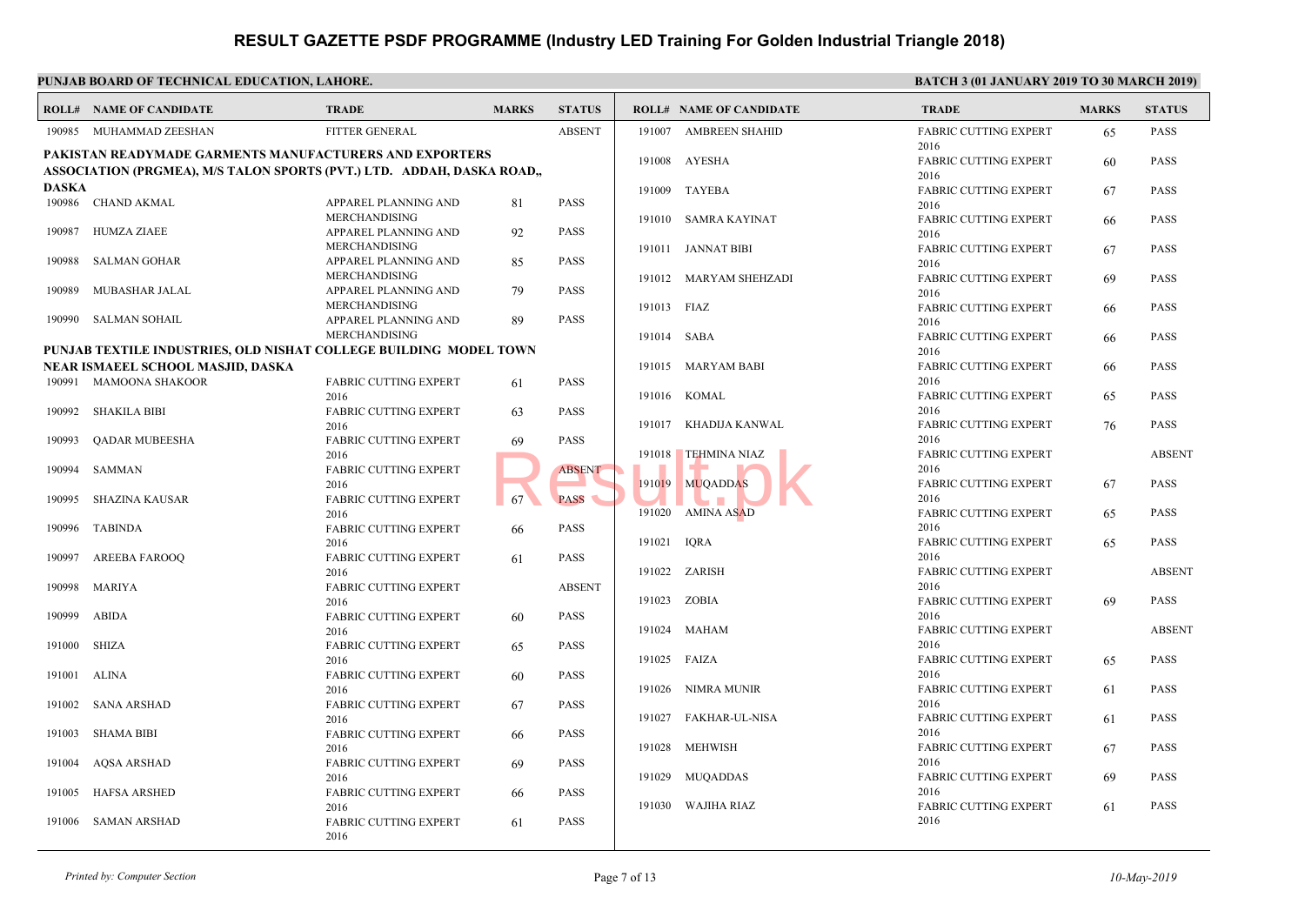| <b>ROLL# NAME OF CANDIDATE</b><br><b>TRADE</b><br><b>MARKS</b><br><b>STATUS</b><br><b>ROLL# NAME OF CANDIDATE</b><br><b>TRAL</b><br>FITTER GENERAL<br><b>ABSENT</b><br>FABRI<br>190985 MUHAMMAD ZEESHAN<br>191007 AMBREEN SHAHID<br>2016<br><b>PAKISTAN READYMADE GARMENTS MANUFACTURERS AND EXPORTERS</b><br>191008 AYESHA<br>FABRI<br>ASSOCIATION (PRGMEA), M/S TALON SPORTS (PVT.) LTD. ADDAH, DASKA ROAD,,<br>2016<br><b>DASKA</b><br>191009 TAYEBA<br>FABRI<br>190986 CHAND AKMAL<br>PASS<br>APPAREL PLANNING AND<br>81<br>2016<br>MERCHANDISING<br>FABRI<br>191010 SAMRA KAYINAT<br>HUMZA ZIAEE<br>190987<br>APPAREL PLANNING AND<br>PASS<br>92<br>2016<br>MERCHANDISING<br>FABRI<br>191011 JANNAT BIBI<br>190988<br>SALMAN GOHAR<br>APPAREL PLANNING AND<br>PASS<br>85<br>2016<br><b>MERCHANDISING</b><br>FABRI<br>191012 MARYAM SHEHZADI<br>PASS<br>190989<br>MUBASHAR JALAL<br>APPAREL PLANNING AND<br>79<br>2016<br><b>MERCHANDISING</b><br>191013 FIAZ<br>FABRI<br>190990 SALMAN SOHAIL<br>PASS<br>APPAREL PLANNING AND<br>89<br>2016<br><b>MERCHANDISING</b><br>FABRI<br>191014 SABA<br>PUNJAB TEXTILE INDUSTRIES, OLD NISHAT COLLEGE BUILDING MODEL TOWN<br>2016<br>191015 MARYAM BABI<br>FABRI<br>NEAR ISMAEEL SCHOOL MASJID, DASKA<br>2016<br>190991 MAMOONA SHAKOOR<br><b>FABRIC CUTTING EXPERT</b><br>PASS<br>61<br>191016 KOMAL<br>FABRI<br>2016<br>2016<br>FABRIC CUTTING EXPERT<br>190992<br>SHAKILA BIBI<br>PASS<br>63<br>FABRI<br>191017 KHADIJA KANWAL<br>2016<br>2016<br><b>FABRIC CUTTING EXPERT</b><br>190993<br>QADAR MUBEESHA<br>69<br>PASS<br>191018 TEHMINA NIAZ<br>FABRI<br>2016<br>2016<br>190994<br>SAMMAN<br><b>FABRIC CUTTING EXPERT</b><br><b>ABSENT</b><br>191019 MUQADDAS<br>FABRI<br>2016<br>2016<br><b>PASS</b><br>SHAZINA KAUSAR<br><b>FABRIC CUTTING EXPERT</b><br>67<br>190995<br>191020 AMINA ASAD<br>FABRI<br>2016<br>2016<br>190996 TABINDA<br><b>FABRIC CUTTING EXPERT</b><br>PASS<br>66<br>191021 IQRA<br>FABRI<br>2016<br>2016<br>AREEBA FAROOQ<br><b>FABRIC CUTTING EXPERT</b><br>PASS<br>190997<br>61<br>191022 ZARISH<br>FABRI<br>2016<br>2016<br>FABRIC CUTTING EXPERT<br><b>ABSENT</b><br>190998<br>MARIYA<br>191023 ZOBIA<br>FABRI<br>2016<br>2016<br>190999<br><b>ABIDA</b><br><b>FABRIC CUTTING EXPERT</b><br>PASS<br>60<br>FABRI<br>191024 MAHAM<br>2016<br>2016<br><b>SHIZA</b><br><b>FABRIC CUTTING EXPERT</b><br>191000<br>PASS<br>65<br>FABRI<br>191025 FAIZA<br>2016<br>2016<br>191001 ALINA<br><b>FABRIC CUTTING EXPERT</b><br>PASS<br>60<br>191026<br>NIMRA MUNIR<br>FABRI<br>2016<br>2016<br>191002 SANA ARSHAD<br><b>FABRIC CUTTING EXPERT</b><br>PASS<br>67<br>FABRI<br>191027 FAKHAR-UL-NISA<br>2016<br>2016<br><b>FABRIC CUTTING EXPERT</b><br>191003<br>SHAMA BIBI<br>PASS<br>66<br>191028 MEHWISH<br>FABRI<br>2016<br>2016<br>AQSA ARSHAD<br>PASS<br>191004<br><b>FABRIC CUTTING EXPERT</b><br>69<br>191029 MUQADDAS<br>FABRI<br>2016<br>2016<br>HAFSA ARSHED<br>FABRIC CUTTING EXPERT<br>191005<br>PASS<br>66<br><b>FABRI</b><br>191030 WAJIHA RIAZ<br>2016<br>2016<br><b>FABRIC CUTTING EXPERT</b><br>191006 SAMAN ARSHAD<br>PASS<br>61 | PUNJAB BOARD OF TECHNICAL EDUCATION, LAHORE. |      | <b>BATC</b> |  |  |
|-------------------------------------------------------------------------------------------------------------------------------------------------------------------------------------------------------------------------------------------------------------------------------------------------------------------------------------------------------------------------------------------------------------------------------------------------------------------------------------------------------------------------------------------------------------------------------------------------------------------------------------------------------------------------------------------------------------------------------------------------------------------------------------------------------------------------------------------------------------------------------------------------------------------------------------------------------------------------------------------------------------------------------------------------------------------------------------------------------------------------------------------------------------------------------------------------------------------------------------------------------------------------------------------------------------------------------------------------------------------------------------------------------------------------------------------------------------------------------------------------------------------------------------------------------------------------------------------------------------------------------------------------------------------------------------------------------------------------------------------------------------------------------------------------------------------------------------------------------------------------------------------------------------------------------------------------------------------------------------------------------------------------------------------------------------------------------------------------------------------------------------------------------------------------------------------------------------------------------------------------------------------------------------------------------------------------------------------------------------------------------------------------------------------------------------------------------------------------------------------------------------------------------------------------------------------------------------------------------------------------------------------------------------------------------------------------------------------------------------------------------------------------------------------------------------------------------------------------------------------------------------------------------------------------------------------------------------------------------------------------------------------------------------------------------------------------------------------------------------------|----------------------------------------------|------|-------------|--|--|
|                                                                                                                                                                                                                                                                                                                                                                                                                                                                                                                                                                                                                                                                                                                                                                                                                                                                                                                                                                                                                                                                                                                                                                                                                                                                                                                                                                                                                                                                                                                                                                                                                                                                                                                                                                                                                                                                                                                                                                                                                                                                                                                                                                                                                                                                                                                                                                                                                                                                                                                                                                                                                                                                                                                                                                                                                                                                                                                                                                                                                                                                                                                   |                                              |      |             |  |  |
|                                                                                                                                                                                                                                                                                                                                                                                                                                                                                                                                                                                                                                                                                                                                                                                                                                                                                                                                                                                                                                                                                                                                                                                                                                                                                                                                                                                                                                                                                                                                                                                                                                                                                                                                                                                                                                                                                                                                                                                                                                                                                                                                                                                                                                                                                                                                                                                                                                                                                                                                                                                                                                                                                                                                                                                                                                                                                                                                                                                                                                                                                                                   |                                              |      |             |  |  |
|                                                                                                                                                                                                                                                                                                                                                                                                                                                                                                                                                                                                                                                                                                                                                                                                                                                                                                                                                                                                                                                                                                                                                                                                                                                                                                                                                                                                                                                                                                                                                                                                                                                                                                                                                                                                                                                                                                                                                                                                                                                                                                                                                                                                                                                                                                                                                                                                                                                                                                                                                                                                                                                                                                                                                                                                                                                                                                                                                                                                                                                                                                                   |                                              |      |             |  |  |
|                                                                                                                                                                                                                                                                                                                                                                                                                                                                                                                                                                                                                                                                                                                                                                                                                                                                                                                                                                                                                                                                                                                                                                                                                                                                                                                                                                                                                                                                                                                                                                                                                                                                                                                                                                                                                                                                                                                                                                                                                                                                                                                                                                                                                                                                                                                                                                                                                                                                                                                                                                                                                                                                                                                                                                                                                                                                                                                                                                                                                                                                                                                   |                                              |      |             |  |  |
|                                                                                                                                                                                                                                                                                                                                                                                                                                                                                                                                                                                                                                                                                                                                                                                                                                                                                                                                                                                                                                                                                                                                                                                                                                                                                                                                                                                                                                                                                                                                                                                                                                                                                                                                                                                                                                                                                                                                                                                                                                                                                                                                                                                                                                                                                                                                                                                                                                                                                                                                                                                                                                                                                                                                                                                                                                                                                                                                                                                                                                                                                                                   |                                              |      |             |  |  |
|                                                                                                                                                                                                                                                                                                                                                                                                                                                                                                                                                                                                                                                                                                                                                                                                                                                                                                                                                                                                                                                                                                                                                                                                                                                                                                                                                                                                                                                                                                                                                                                                                                                                                                                                                                                                                                                                                                                                                                                                                                                                                                                                                                                                                                                                                                                                                                                                                                                                                                                                                                                                                                                                                                                                                                                                                                                                                                                                                                                                                                                                                                                   |                                              |      |             |  |  |
|                                                                                                                                                                                                                                                                                                                                                                                                                                                                                                                                                                                                                                                                                                                                                                                                                                                                                                                                                                                                                                                                                                                                                                                                                                                                                                                                                                                                                                                                                                                                                                                                                                                                                                                                                                                                                                                                                                                                                                                                                                                                                                                                                                                                                                                                                                                                                                                                                                                                                                                                                                                                                                                                                                                                                                                                                                                                                                                                                                                                                                                                                                                   |                                              |      |             |  |  |
|                                                                                                                                                                                                                                                                                                                                                                                                                                                                                                                                                                                                                                                                                                                                                                                                                                                                                                                                                                                                                                                                                                                                                                                                                                                                                                                                                                                                                                                                                                                                                                                                                                                                                                                                                                                                                                                                                                                                                                                                                                                                                                                                                                                                                                                                                                                                                                                                                                                                                                                                                                                                                                                                                                                                                                                                                                                                                                                                                                                                                                                                                                                   |                                              |      |             |  |  |
|                                                                                                                                                                                                                                                                                                                                                                                                                                                                                                                                                                                                                                                                                                                                                                                                                                                                                                                                                                                                                                                                                                                                                                                                                                                                                                                                                                                                                                                                                                                                                                                                                                                                                                                                                                                                                                                                                                                                                                                                                                                                                                                                                                                                                                                                                                                                                                                                                                                                                                                                                                                                                                                                                                                                                                                                                                                                                                                                                                                                                                                                                                                   |                                              |      |             |  |  |
|                                                                                                                                                                                                                                                                                                                                                                                                                                                                                                                                                                                                                                                                                                                                                                                                                                                                                                                                                                                                                                                                                                                                                                                                                                                                                                                                                                                                                                                                                                                                                                                                                                                                                                                                                                                                                                                                                                                                                                                                                                                                                                                                                                                                                                                                                                                                                                                                                                                                                                                                                                                                                                                                                                                                                                                                                                                                                                                                                                                                                                                                                                                   |                                              |      |             |  |  |
|                                                                                                                                                                                                                                                                                                                                                                                                                                                                                                                                                                                                                                                                                                                                                                                                                                                                                                                                                                                                                                                                                                                                                                                                                                                                                                                                                                                                                                                                                                                                                                                                                                                                                                                                                                                                                                                                                                                                                                                                                                                                                                                                                                                                                                                                                                                                                                                                                                                                                                                                                                                                                                                                                                                                                                                                                                                                                                                                                                                                                                                                                                                   |                                              |      |             |  |  |
|                                                                                                                                                                                                                                                                                                                                                                                                                                                                                                                                                                                                                                                                                                                                                                                                                                                                                                                                                                                                                                                                                                                                                                                                                                                                                                                                                                                                                                                                                                                                                                                                                                                                                                                                                                                                                                                                                                                                                                                                                                                                                                                                                                                                                                                                                                                                                                                                                                                                                                                                                                                                                                                                                                                                                                                                                                                                                                                                                                                                                                                                                                                   |                                              |      |             |  |  |
|                                                                                                                                                                                                                                                                                                                                                                                                                                                                                                                                                                                                                                                                                                                                                                                                                                                                                                                                                                                                                                                                                                                                                                                                                                                                                                                                                                                                                                                                                                                                                                                                                                                                                                                                                                                                                                                                                                                                                                                                                                                                                                                                                                                                                                                                                                                                                                                                                                                                                                                                                                                                                                                                                                                                                                                                                                                                                                                                                                                                                                                                                                                   |                                              |      |             |  |  |
|                                                                                                                                                                                                                                                                                                                                                                                                                                                                                                                                                                                                                                                                                                                                                                                                                                                                                                                                                                                                                                                                                                                                                                                                                                                                                                                                                                                                                                                                                                                                                                                                                                                                                                                                                                                                                                                                                                                                                                                                                                                                                                                                                                                                                                                                                                                                                                                                                                                                                                                                                                                                                                                                                                                                                                                                                                                                                                                                                                                                                                                                                                                   |                                              |      |             |  |  |
|                                                                                                                                                                                                                                                                                                                                                                                                                                                                                                                                                                                                                                                                                                                                                                                                                                                                                                                                                                                                                                                                                                                                                                                                                                                                                                                                                                                                                                                                                                                                                                                                                                                                                                                                                                                                                                                                                                                                                                                                                                                                                                                                                                                                                                                                                                                                                                                                                                                                                                                                                                                                                                                                                                                                                                                                                                                                                                                                                                                                                                                                                                                   |                                              |      |             |  |  |
|                                                                                                                                                                                                                                                                                                                                                                                                                                                                                                                                                                                                                                                                                                                                                                                                                                                                                                                                                                                                                                                                                                                                                                                                                                                                                                                                                                                                                                                                                                                                                                                                                                                                                                                                                                                                                                                                                                                                                                                                                                                                                                                                                                                                                                                                                                                                                                                                                                                                                                                                                                                                                                                                                                                                                                                                                                                                                                                                                                                                                                                                                                                   |                                              |      |             |  |  |
|                                                                                                                                                                                                                                                                                                                                                                                                                                                                                                                                                                                                                                                                                                                                                                                                                                                                                                                                                                                                                                                                                                                                                                                                                                                                                                                                                                                                                                                                                                                                                                                                                                                                                                                                                                                                                                                                                                                                                                                                                                                                                                                                                                                                                                                                                                                                                                                                                                                                                                                                                                                                                                                                                                                                                                                                                                                                                                                                                                                                                                                                                                                   |                                              |      |             |  |  |
|                                                                                                                                                                                                                                                                                                                                                                                                                                                                                                                                                                                                                                                                                                                                                                                                                                                                                                                                                                                                                                                                                                                                                                                                                                                                                                                                                                                                                                                                                                                                                                                                                                                                                                                                                                                                                                                                                                                                                                                                                                                                                                                                                                                                                                                                                                                                                                                                                                                                                                                                                                                                                                                                                                                                                                                                                                                                                                                                                                                                                                                                                                                   |                                              |      |             |  |  |
|                                                                                                                                                                                                                                                                                                                                                                                                                                                                                                                                                                                                                                                                                                                                                                                                                                                                                                                                                                                                                                                                                                                                                                                                                                                                                                                                                                                                                                                                                                                                                                                                                                                                                                                                                                                                                                                                                                                                                                                                                                                                                                                                                                                                                                                                                                                                                                                                                                                                                                                                                                                                                                                                                                                                                                                                                                                                                                                                                                                                                                                                                                                   |                                              |      |             |  |  |
|                                                                                                                                                                                                                                                                                                                                                                                                                                                                                                                                                                                                                                                                                                                                                                                                                                                                                                                                                                                                                                                                                                                                                                                                                                                                                                                                                                                                                                                                                                                                                                                                                                                                                                                                                                                                                                                                                                                                                                                                                                                                                                                                                                                                                                                                                                                                                                                                                                                                                                                                                                                                                                                                                                                                                                                                                                                                                                                                                                                                                                                                                                                   |                                              |      |             |  |  |
|                                                                                                                                                                                                                                                                                                                                                                                                                                                                                                                                                                                                                                                                                                                                                                                                                                                                                                                                                                                                                                                                                                                                                                                                                                                                                                                                                                                                                                                                                                                                                                                                                                                                                                                                                                                                                                                                                                                                                                                                                                                                                                                                                                                                                                                                                                                                                                                                                                                                                                                                                                                                                                                                                                                                                                                                                                                                                                                                                                                                                                                                                                                   |                                              |      |             |  |  |
|                                                                                                                                                                                                                                                                                                                                                                                                                                                                                                                                                                                                                                                                                                                                                                                                                                                                                                                                                                                                                                                                                                                                                                                                                                                                                                                                                                                                                                                                                                                                                                                                                                                                                                                                                                                                                                                                                                                                                                                                                                                                                                                                                                                                                                                                                                                                                                                                                                                                                                                                                                                                                                                                                                                                                                                                                                                                                                                                                                                                                                                                                                                   |                                              |      |             |  |  |
|                                                                                                                                                                                                                                                                                                                                                                                                                                                                                                                                                                                                                                                                                                                                                                                                                                                                                                                                                                                                                                                                                                                                                                                                                                                                                                                                                                                                                                                                                                                                                                                                                                                                                                                                                                                                                                                                                                                                                                                                                                                                                                                                                                                                                                                                                                                                                                                                                                                                                                                                                                                                                                                                                                                                                                                                                                                                                                                                                                                                                                                                                                                   |                                              |      |             |  |  |
|                                                                                                                                                                                                                                                                                                                                                                                                                                                                                                                                                                                                                                                                                                                                                                                                                                                                                                                                                                                                                                                                                                                                                                                                                                                                                                                                                                                                                                                                                                                                                                                                                                                                                                                                                                                                                                                                                                                                                                                                                                                                                                                                                                                                                                                                                                                                                                                                                                                                                                                                                                                                                                                                                                                                                                                                                                                                                                                                                                                                                                                                                                                   |                                              |      |             |  |  |
|                                                                                                                                                                                                                                                                                                                                                                                                                                                                                                                                                                                                                                                                                                                                                                                                                                                                                                                                                                                                                                                                                                                                                                                                                                                                                                                                                                                                                                                                                                                                                                                                                                                                                                                                                                                                                                                                                                                                                                                                                                                                                                                                                                                                                                                                                                                                                                                                                                                                                                                                                                                                                                                                                                                                                                                                                                                                                                                                                                                                                                                                                                                   |                                              |      |             |  |  |
|                                                                                                                                                                                                                                                                                                                                                                                                                                                                                                                                                                                                                                                                                                                                                                                                                                                                                                                                                                                                                                                                                                                                                                                                                                                                                                                                                                                                                                                                                                                                                                                                                                                                                                                                                                                                                                                                                                                                                                                                                                                                                                                                                                                                                                                                                                                                                                                                                                                                                                                                                                                                                                                                                                                                                                                                                                                                                                                                                                                                                                                                                                                   |                                              |      |             |  |  |
|                                                                                                                                                                                                                                                                                                                                                                                                                                                                                                                                                                                                                                                                                                                                                                                                                                                                                                                                                                                                                                                                                                                                                                                                                                                                                                                                                                                                                                                                                                                                                                                                                                                                                                                                                                                                                                                                                                                                                                                                                                                                                                                                                                                                                                                                                                                                                                                                                                                                                                                                                                                                                                                                                                                                                                                                                                                                                                                                                                                                                                                                                                                   |                                              |      |             |  |  |
|                                                                                                                                                                                                                                                                                                                                                                                                                                                                                                                                                                                                                                                                                                                                                                                                                                                                                                                                                                                                                                                                                                                                                                                                                                                                                                                                                                                                                                                                                                                                                                                                                                                                                                                                                                                                                                                                                                                                                                                                                                                                                                                                                                                                                                                                                                                                                                                                                                                                                                                                                                                                                                                                                                                                                                                                                                                                                                                                                                                                                                                                                                                   |                                              |      |             |  |  |
|                                                                                                                                                                                                                                                                                                                                                                                                                                                                                                                                                                                                                                                                                                                                                                                                                                                                                                                                                                                                                                                                                                                                                                                                                                                                                                                                                                                                                                                                                                                                                                                                                                                                                                                                                                                                                                                                                                                                                                                                                                                                                                                                                                                                                                                                                                                                                                                                                                                                                                                                                                                                                                                                                                                                                                                                                                                                                                                                                                                                                                                                                                                   |                                              |      |             |  |  |
|                                                                                                                                                                                                                                                                                                                                                                                                                                                                                                                                                                                                                                                                                                                                                                                                                                                                                                                                                                                                                                                                                                                                                                                                                                                                                                                                                                                                                                                                                                                                                                                                                                                                                                                                                                                                                                                                                                                                                                                                                                                                                                                                                                                                                                                                                                                                                                                                                                                                                                                                                                                                                                                                                                                                                                                                                                                                                                                                                                                                                                                                                                                   |                                              |      |             |  |  |
|                                                                                                                                                                                                                                                                                                                                                                                                                                                                                                                                                                                                                                                                                                                                                                                                                                                                                                                                                                                                                                                                                                                                                                                                                                                                                                                                                                                                                                                                                                                                                                                                                                                                                                                                                                                                                                                                                                                                                                                                                                                                                                                                                                                                                                                                                                                                                                                                                                                                                                                                                                                                                                                                                                                                                                                                                                                                                                                                                                                                                                                                                                                   |                                              |      |             |  |  |
|                                                                                                                                                                                                                                                                                                                                                                                                                                                                                                                                                                                                                                                                                                                                                                                                                                                                                                                                                                                                                                                                                                                                                                                                                                                                                                                                                                                                                                                                                                                                                                                                                                                                                                                                                                                                                                                                                                                                                                                                                                                                                                                                                                                                                                                                                                                                                                                                                                                                                                                                                                                                                                                                                                                                                                                                                                                                                                                                                                                                                                                                                                                   |                                              |      |             |  |  |
|                                                                                                                                                                                                                                                                                                                                                                                                                                                                                                                                                                                                                                                                                                                                                                                                                                                                                                                                                                                                                                                                                                                                                                                                                                                                                                                                                                                                                                                                                                                                                                                                                                                                                                                                                                                                                                                                                                                                                                                                                                                                                                                                                                                                                                                                                                                                                                                                                                                                                                                                                                                                                                                                                                                                                                                                                                                                                                                                                                                                                                                                                                                   |                                              |      |             |  |  |
|                                                                                                                                                                                                                                                                                                                                                                                                                                                                                                                                                                                                                                                                                                                                                                                                                                                                                                                                                                                                                                                                                                                                                                                                                                                                                                                                                                                                                                                                                                                                                                                                                                                                                                                                                                                                                                                                                                                                                                                                                                                                                                                                                                                                                                                                                                                                                                                                                                                                                                                                                                                                                                                                                                                                                                                                                                                                                                                                                                                                                                                                                                                   |                                              |      |             |  |  |
|                                                                                                                                                                                                                                                                                                                                                                                                                                                                                                                                                                                                                                                                                                                                                                                                                                                                                                                                                                                                                                                                                                                                                                                                                                                                                                                                                                                                                                                                                                                                                                                                                                                                                                                                                                                                                                                                                                                                                                                                                                                                                                                                                                                                                                                                                                                                                                                                                                                                                                                                                                                                                                                                                                                                                                                                                                                                                                                                                                                                                                                                                                                   |                                              |      |             |  |  |
|                                                                                                                                                                                                                                                                                                                                                                                                                                                                                                                                                                                                                                                                                                                                                                                                                                                                                                                                                                                                                                                                                                                                                                                                                                                                                                                                                                                                                                                                                                                                                                                                                                                                                                                                                                                                                                                                                                                                                                                                                                                                                                                                                                                                                                                                                                                                                                                                                                                                                                                                                                                                                                                                                                                                                                                                                                                                                                                                                                                                                                                                                                                   |                                              |      |             |  |  |
|                                                                                                                                                                                                                                                                                                                                                                                                                                                                                                                                                                                                                                                                                                                                                                                                                                                                                                                                                                                                                                                                                                                                                                                                                                                                                                                                                                                                                                                                                                                                                                                                                                                                                                                                                                                                                                                                                                                                                                                                                                                                                                                                                                                                                                                                                                                                                                                                                                                                                                                                                                                                                                                                                                                                                                                                                                                                                                                                                                                                                                                                                                                   |                                              |      |             |  |  |
|                                                                                                                                                                                                                                                                                                                                                                                                                                                                                                                                                                                                                                                                                                                                                                                                                                                                                                                                                                                                                                                                                                                                                                                                                                                                                                                                                                                                                                                                                                                                                                                                                                                                                                                                                                                                                                                                                                                                                                                                                                                                                                                                                                                                                                                                                                                                                                                                                                                                                                                                                                                                                                                                                                                                                                                                                                                                                                                                                                                                                                                                                                                   |                                              |      |             |  |  |
|                                                                                                                                                                                                                                                                                                                                                                                                                                                                                                                                                                                                                                                                                                                                                                                                                                                                                                                                                                                                                                                                                                                                                                                                                                                                                                                                                                                                                                                                                                                                                                                                                                                                                                                                                                                                                                                                                                                                                                                                                                                                                                                                                                                                                                                                                                                                                                                                                                                                                                                                                                                                                                                                                                                                                                                                                                                                                                                                                                                                                                                                                                                   |                                              |      |             |  |  |
|                                                                                                                                                                                                                                                                                                                                                                                                                                                                                                                                                                                                                                                                                                                                                                                                                                                                                                                                                                                                                                                                                                                                                                                                                                                                                                                                                                                                                                                                                                                                                                                                                                                                                                                                                                                                                                                                                                                                                                                                                                                                                                                                                                                                                                                                                                                                                                                                                                                                                                                                                                                                                                                                                                                                                                                                                                                                                                                                                                                                                                                                                                                   |                                              |      |             |  |  |
|                                                                                                                                                                                                                                                                                                                                                                                                                                                                                                                                                                                                                                                                                                                                                                                                                                                                                                                                                                                                                                                                                                                                                                                                                                                                                                                                                                                                                                                                                                                                                                                                                                                                                                                                                                                                                                                                                                                                                                                                                                                                                                                                                                                                                                                                                                                                                                                                                                                                                                                                                                                                                                                                                                                                                                                                                                                                                                                                                                                                                                                                                                                   |                                              |      |             |  |  |
|                                                                                                                                                                                                                                                                                                                                                                                                                                                                                                                                                                                                                                                                                                                                                                                                                                                                                                                                                                                                                                                                                                                                                                                                                                                                                                                                                                                                                                                                                                                                                                                                                                                                                                                                                                                                                                                                                                                                                                                                                                                                                                                                                                                                                                                                                                                                                                                                                                                                                                                                                                                                                                                                                                                                                                                                                                                                                                                                                                                                                                                                                                                   |                                              |      |             |  |  |
|                                                                                                                                                                                                                                                                                                                                                                                                                                                                                                                                                                                                                                                                                                                                                                                                                                                                                                                                                                                                                                                                                                                                                                                                                                                                                                                                                                                                                                                                                                                                                                                                                                                                                                                                                                                                                                                                                                                                                                                                                                                                                                                                                                                                                                                                                                                                                                                                                                                                                                                                                                                                                                                                                                                                                                                                                                                                                                                                                                                                                                                                                                                   |                                              |      |             |  |  |
|                                                                                                                                                                                                                                                                                                                                                                                                                                                                                                                                                                                                                                                                                                                                                                                                                                                                                                                                                                                                                                                                                                                                                                                                                                                                                                                                                                                                                                                                                                                                                                                                                                                                                                                                                                                                                                                                                                                                                                                                                                                                                                                                                                                                                                                                                                                                                                                                                                                                                                                                                                                                                                                                                                                                                                                                                                                                                                                                                                                                                                                                                                                   |                                              |      |             |  |  |
|                                                                                                                                                                                                                                                                                                                                                                                                                                                                                                                                                                                                                                                                                                                                                                                                                                                                                                                                                                                                                                                                                                                                                                                                                                                                                                                                                                                                                                                                                                                                                                                                                                                                                                                                                                                                                                                                                                                                                                                                                                                                                                                                                                                                                                                                                                                                                                                                                                                                                                                                                                                                                                                                                                                                                                                                                                                                                                                                                                                                                                                                                                                   |                                              |      |             |  |  |
|                                                                                                                                                                                                                                                                                                                                                                                                                                                                                                                                                                                                                                                                                                                                                                                                                                                                                                                                                                                                                                                                                                                                                                                                                                                                                                                                                                                                                                                                                                                                                                                                                                                                                                                                                                                                                                                                                                                                                                                                                                                                                                                                                                                                                                                                                                                                                                                                                                                                                                                                                                                                                                                                                                                                                                                                                                                                                                                                                                                                                                                                                                                   |                                              |      |             |  |  |
|                                                                                                                                                                                                                                                                                                                                                                                                                                                                                                                                                                                                                                                                                                                                                                                                                                                                                                                                                                                                                                                                                                                                                                                                                                                                                                                                                                                                                                                                                                                                                                                                                                                                                                                                                                                                                                                                                                                                                                                                                                                                                                                                                                                                                                                                                                                                                                                                                                                                                                                                                                                                                                                                                                                                                                                                                                                                                                                                                                                                                                                                                                                   |                                              |      |             |  |  |
|                                                                                                                                                                                                                                                                                                                                                                                                                                                                                                                                                                                                                                                                                                                                                                                                                                                                                                                                                                                                                                                                                                                                                                                                                                                                                                                                                                                                                                                                                                                                                                                                                                                                                                                                                                                                                                                                                                                                                                                                                                                                                                                                                                                                                                                                                                                                                                                                                                                                                                                                                                                                                                                                                                                                                                                                                                                                                                                                                                                                                                                                                                                   |                                              | 2016 |             |  |  |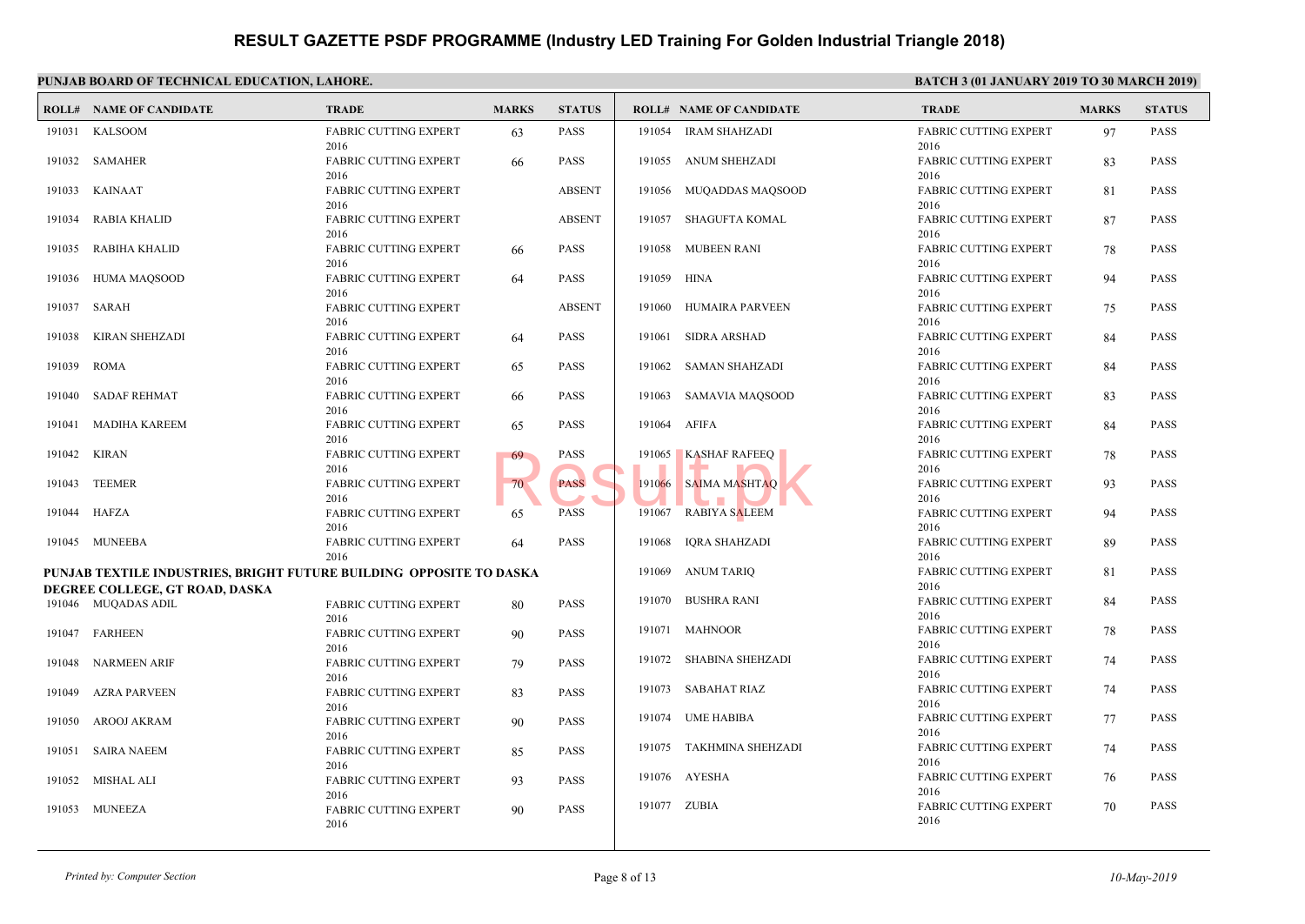|        | <b>ROLL# NAME OF CANDIDATE</b>                                      | <b>TRADE</b>                         | <b>MARKS</b> | <b>STATUS</b> |              | <b>ROLL# NAME OF CANDIDATE</b> | <b>TRAL</b>   |
|--------|---------------------------------------------------------------------|--------------------------------------|--------------|---------------|--------------|--------------------------------|---------------|
|        | 191031 KALSOOM                                                      | FABRIC CUTTING EXPERT                | 63           | <b>PASS</b>   | 191054       | <b>IRAM SHAHZADI</b>           | <b>FABRI</b>  |
|        | 191032 SAMAHER                                                      | 2016<br><b>FABRIC CUTTING EXPERT</b> | 66           | PASS          |              | 191055 ANUM SHEHZADI           | 2016<br>FABRI |
|        |                                                                     | 2016                                 |              |               |              |                                | 2016          |
|        | 191033 KAINAAT                                                      | FABRIC CUTTING EXPERT                |              | <b>ABSENT</b> |              | 191056 MUQADDAS MAQSOOD        | <b>FABRI</b>  |
|        |                                                                     | 2016                                 |              |               |              |                                | 2016          |
| 191034 | RABIA KHALID                                                        | FABRIC CUTTING EXPERT                |              | <b>ABSENT</b> |              | 191057 SHAGUFTA KOMAL          | FABRI         |
|        |                                                                     | 2016                                 |              |               |              |                                | 2016          |
| 191035 | RABIHA KHALID                                                       | FABRIC CUTTING EXPERT                | 66           | <b>PASS</b>   |              | 191058 MUBEEN RANI             | FABRI         |
| 191036 | HUMA MAQSOOD                                                        | 2016<br><b>FABRIC CUTTING EXPERT</b> | 64           | <b>PASS</b>   | 191059 HINA  |                                | 2016<br>FABRI |
|        |                                                                     | 2016                                 |              |               |              |                                | 2016          |
| 191037 | SARAH                                                               | FABRIC CUTTING EXPERT                |              | <b>ABSENT</b> | 191060       | HUMAIRA PARVEEN                | FABRI         |
|        |                                                                     | 2016                                 |              |               |              |                                | 2016          |
| 191038 | KIRAN SHEHZADI                                                      | <b>FABRIC CUTTING EXPERT</b>         | 64           | <b>PASS</b>   |              | 191061 SIDRA ARSHAD            | FABRI         |
|        |                                                                     | 2016                                 |              |               |              |                                | 2016          |
| 191039 | <b>ROMA</b>                                                         | <b>FABRIC CUTTING EXPERT</b>         | 65           | <b>PASS</b>   | 191062       | SAMAN SHAHZADI                 | FABRI         |
|        |                                                                     | 2016                                 |              |               |              |                                | 2016          |
| 191040 | <b>SADAF REHMAT</b>                                                 | <b>FABRIC CUTTING EXPERT</b><br>2016 | 66           | <b>PASS</b>   |              | 191063 SAMAVIA MAQSOOD         | FABRI<br>2016 |
| 191041 | <b>MADIHA KAREEM</b>                                                | <b>FABRIC CUTTING EXPERT</b>         | 65           | <b>PASS</b>   | 191064       | <b>AFIFA</b>                   | FABRI         |
|        |                                                                     | 2016                                 |              |               |              |                                | 2016          |
| 191042 | <b>KIRAN</b>                                                        | <b>FABRIC CUTTING EXPERT</b>         | 69           | <b>PASS</b>   | 191065       | <b>KASHAF RAFEEQ</b>           | FABRI         |
|        |                                                                     | 2016                                 |              |               |              |                                | 2016          |
| 191043 | <b>TEEMER</b>                                                       | FABRIC CUTTING EXPERT                | 70           | <b>PASS</b>   | 191066       | <b>SAIMA MASHTAO</b>           | FABRI         |
|        |                                                                     | 2016                                 |              |               |              |                                | 2016          |
| 191044 | HAFZA                                                               | <b>FABRIC CUTTING EXPERT</b><br>2016 | 65           | <b>PASS</b>   |              | 191067 RABIYA SALEEM           | FABRI<br>2016 |
|        | 191045 MUNEEBA                                                      | <b>FABRIC CUTTING EXPERT</b>         | 64           | <b>PASS</b>   | 191068       | <b>IORA SHAHZADI</b>           | FABRI         |
|        |                                                                     | 2016                                 |              |               |              |                                | 2016          |
|        | PUNJAB TEXTILE INDUSTRIES, BRIGHT FUTURE BUILDING OPPOSITE TO DASKA |                                      |              |               |              | 191069 ANUM TARIQ              | FABRI         |
|        | DEGREE COLLEGE, GT ROAD, DASKA                                      |                                      |              |               |              |                                | 2016          |
|        | 191046 MUQADAS ADIL                                                 | <b>FABRIC CUTTING EXPERT</b>         | 80           | PASS          |              | 191070 BUSHRA RANI             | FABRI         |
|        |                                                                     | 2016                                 |              |               |              |                                | 2016          |
| 191047 | <b>FARHEEN</b>                                                      | FABRIC CUTTING EXPERT                | 90           | <b>PASS</b>   |              | 191071 MAHNOOR                 | FABRI<br>2016 |
|        |                                                                     | 2016                                 |              |               |              | 191072 SHABINA SHEHZADI        | FABRI         |
| 191048 | <b>NARMEEN ARIF</b>                                                 | <b>FABRIC CUTTING EXPERT</b><br>2016 | 79           | <b>PASS</b>   |              |                                | 2016          |
| 191049 | <b>AZRA PARVEEN</b>                                                 | <b>FABRIC CUTTING EXPERT</b>         | 83           | <b>PASS</b>   |              | 191073 SABAHAT RIAZ            | FABRI         |
|        |                                                                     | 2016                                 |              |               |              |                                | 2016          |
| 191050 | AROOJ AKRAM                                                         | FABRIC CUTTING EXPERT                | 90           | <b>PASS</b>   |              | 191074 UME HABIBA              | FABRI         |
|        |                                                                     | 2016                                 |              |               |              |                                | 2016          |
|        | 191051 SAIRA NAEEM                                                  | <b>FABRIC CUTTING EXPERT</b>         | 85           | <b>PASS</b>   |              | 191075 TAKHMINA SHEHZADI       | FABRI         |
|        |                                                                     | 2016                                 |              |               |              |                                | 2016          |
|        | 191052 MISHAL ALI                                                   | FABRIC CUTTING EXPERT                | 93           | <b>PASS</b>   |              | 191076 AYESHA                  | FABRI<br>2016 |
|        |                                                                     | 2016                                 |              |               | 191077 ZUBIA |                                | FABRI         |
|        | 191053 MUNEEZA                                                      | FABRIC CUTTING EXPERT<br>2016        | 90           | <b>PASS</b>   |              |                                | 2016          |
|        |                                                                     |                                      |              |               |              |                                |               |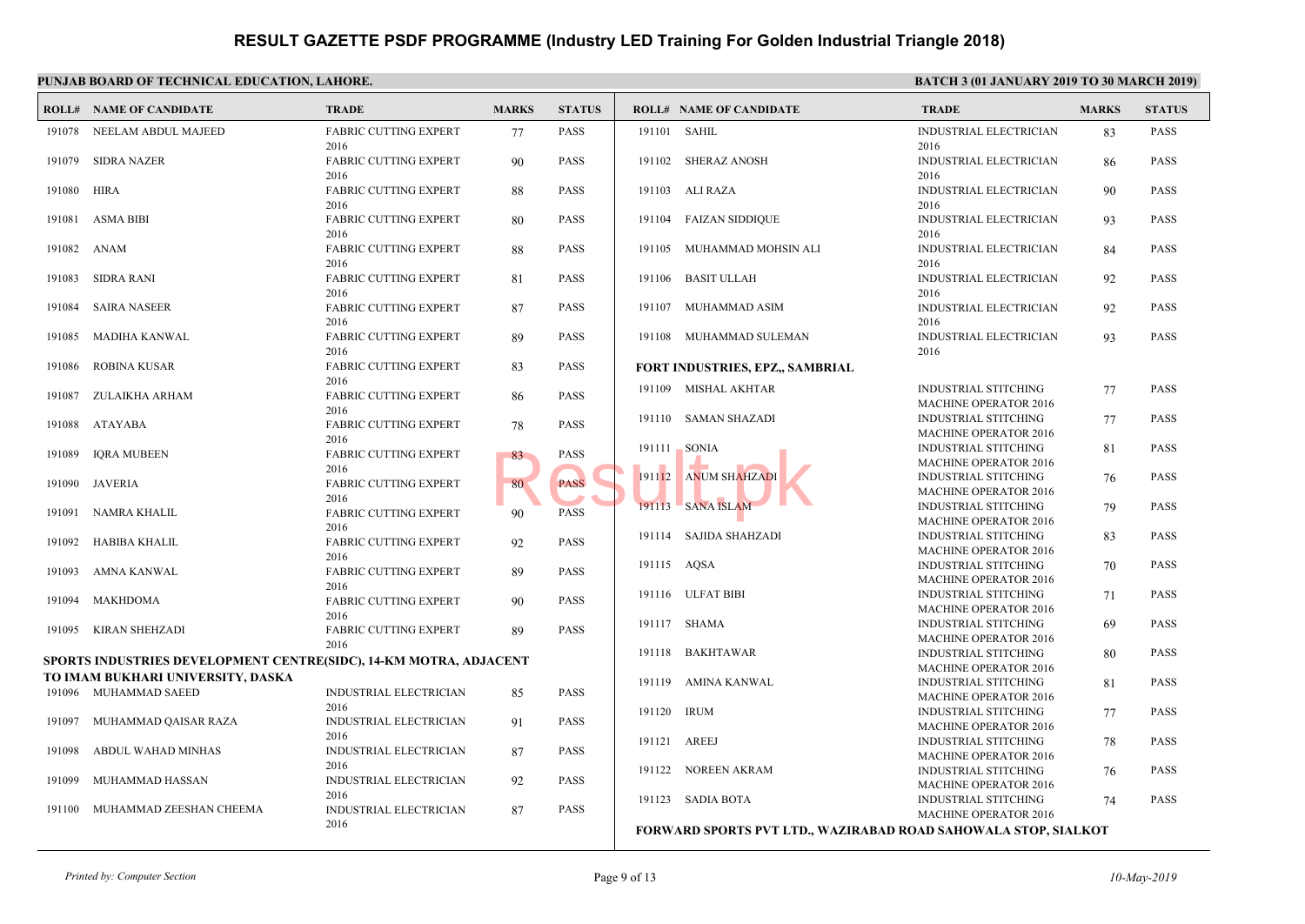|        | I UNIAD DOARD OF TECHNICAL EDUCATION, LAHORE                      |                                      |              |               |             |                                                   | <b>DAI</b>                   |
|--------|-------------------------------------------------------------------|--------------------------------------|--------------|---------------|-------------|---------------------------------------------------|------------------------------|
|        | <b>ROLL# NAME OF CANDIDATE</b>                                    | <b>TRADE</b>                         | <b>MARKS</b> | <b>STATUS</b> |             | <b>ROLL# NAME OF CANDIDATE</b>                    | <b>TRAL</b>                  |
|        | 191078 NEELAM ABDUL MAJEED                                        | <b>FABRIC CUTTING EXPERT</b><br>2016 | 77           | <b>PASS</b>   |             | 191101 SAHIL                                      | <b>INDUS</b><br>2016         |
| 191079 | SIDRA NAZER                                                       | <b>FABRIC CUTTING EXPERT</b><br>2016 | 90           | <b>PASS</b>   |             | 191102 SHERAZ ANOSH                               | <b>INDUS</b><br>2016         |
| 191080 | <b>HIRA</b>                                                       | <b>FABRIC CUTTING EXPERT</b><br>2016 | 88           | <b>PASS</b>   |             | 191103 ALI RAZA                                   | <b>INDUS</b>                 |
| 191081 | ASMA BIBI                                                         | <b>FABRIC CUTTING EXPERT</b><br>2016 | 80           | <b>PASS</b>   |             | 191104 FAIZAN SIDDIQUE                            | 2016<br><b>INDUS</b><br>2016 |
| 191082 | ANAM                                                              | <b>FABRIC CUTTING EXPERT</b><br>2016 | 88           | <b>PASS</b>   |             | 191105 MUHAMMAD MOHSIN ALI                        | <b>INDUS</b><br>2016         |
| 191083 | SIDRA RANI                                                        | <b>FABRIC CUTTING EXPERT</b><br>2016 | 81           | <b>PASS</b>   |             | 191106 BASIT ULLAH                                | <b>INDUS</b><br>2016         |
| 191084 | <b>SAIRA NASEER</b>                                               | <b>FABRIC CUTTING EXPERT</b><br>2016 | 87           | <b>PASS</b>   |             | 191107 MUHAMMAD ASIM                              | <b>INDUS</b><br>2016         |
| 191085 | MADIHA KANWAL                                                     | <b>FABRIC CUTTING EXPERT</b><br>2016 | 89           | <b>PASS</b>   |             | 191108 MUHAMMAD SULEMAN                           | <b>INDUS</b><br>2016         |
| 191086 | <b>ROBINA KUSAR</b>                                               | <b>FABRIC CUTTING EXPERT</b><br>2016 | 83           | <b>PASS</b>   |             | FORT INDUSTRIES, EPZ., SAMBRIAL                   |                              |
| 191087 | ZULAIKHA ARHAM                                                    | <b>FABRIC CUTTING EXPERT</b><br>2016 | 86           | <b>PASS</b>   |             | 191109 MISHAL AKHTAR                              | <b>INDUS</b><br><b>MACH</b>  |
| 191088 | ATAYABA                                                           | <b>FABRIC CUTTING EXPERT</b><br>2016 | 78           | PASS          |             | 191110 SAMAN SHAZADI                              | <b>INDUS</b><br><b>MACH</b>  |
| 191089 | <b>IQRA MUBEEN</b>                                                | FABRIC CUTTING EXPERT<br>2016        | 83           | PASS          |             | 191111 SONIA                                      | <b>INDUS</b><br><b>MACH</b>  |
| 191090 | <b>JAVERIA</b>                                                    | FABRIC CUTTING EXPERT<br>2016        | 80           | <b>PASS</b>   |             | 191112 ANUM SHAHZADI                              | <b>INDUS</b><br><b>MACH</b>  |
| 191091 | NAMRA KHALIL                                                      | FABRIC CUTTING EXPERT<br>2016        | 90           | <b>PASS</b>   |             | 191113 SANA ISLAM                                 | <b>INDUS</b><br><b>MACH</b>  |
| 191092 | HABIBA KHALIL                                                     | FABRIC CUTTING EXPERT<br>2016        | 92           | <b>PASS</b>   |             | 191114 SAJIDA SHAHZADI                            | <b>INDUS</b><br><b>MACH</b>  |
| 191093 | AMNA KANWAL                                                       | <b>FABRIC CUTTING EXPERT</b><br>2016 | 89           | <b>PASS</b>   | 191115 AQSA |                                                   | <b>INDUS</b><br><b>MACH</b>  |
| 191094 | MAKHDOMA                                                          | <b>FABRIC CUTTING EXPERT</b><br>2016 | 90           | <b>PASS</b>   |             | 191116 ULFAT BIBI                                 | <b>INDUS</b><br><b>MACH</b>  |
| 191095 | KIRAN SHEHZADI                                                    | <b>FABRIC CUTTING EXPERT</b><br>2016 | 89           | <b>PASS</b>   |             | 191117 SHAMA                                      | <b>INDUS</b><br><b>MACH</b>  |
|        | SPORTS INDUSTRIES DEVELOPMENT CENTRE(SIDC), 14-KM MOTRA, ADJACENT |                                      |              |               |             | 191118 BAKHTAWAR                                  | <b>INDUS</b>                 |
|        | TO IMAM BUKHARI UNIVERSITY, DASKA                                 |                                      |              |               |             | 191119 AMINA KANWAL                               | <b>MACH</b><br><b>INDUS</b>  |
|        | 191096 MUHAMMAD SAEED                                             | INDUSTRIAL ELECTRICIAN<br>2016       | 85           | <b>PASS</b>   | 191120 IRUM |                                                   | <b>MACH</b><br><b>INDUS</b>  |
| 191097 | MUHAMMAD QAISAR RAZA                                              | INDUSTRIAL ELECTRICIAN<br>2016       | 91           | PASS          |             |                                                   | <b>MACH</b>                  |
| 191098 | ABDUL WAHAD MINHAS                                                | INDUSTRIAL ELECTRICIAN<br>2016       | 87           | PASS          |             | 191121 AREEJ                                      | <b>INDUS</b><br><b>MACH</b>  |
| 191099 | MUHAMMAD HASSAN                                                   | INDUSTRIAL ELECTRICIAN<br>2016       | 92           | <b>PASS</b>   |             | 191122 NOREEN AKRAM                               | <b>INDUS</b><br><b>MACH</b>  |
| 191100 | MUHAMMAD ZEESHAN CHEEMA                                           | INDUSTRIAL ELECTRICIAN<br>2016       | 87           | PASS          |             | 191123 SADIA BOTA                                 | <b>INDUS</b><br><b>MACH</b>  |
|        |                                                                   |                                      |              |               |             | <b>FORWARD SPORTS PVT LTD., WAZIRABAD ROAD SA</b> |                              |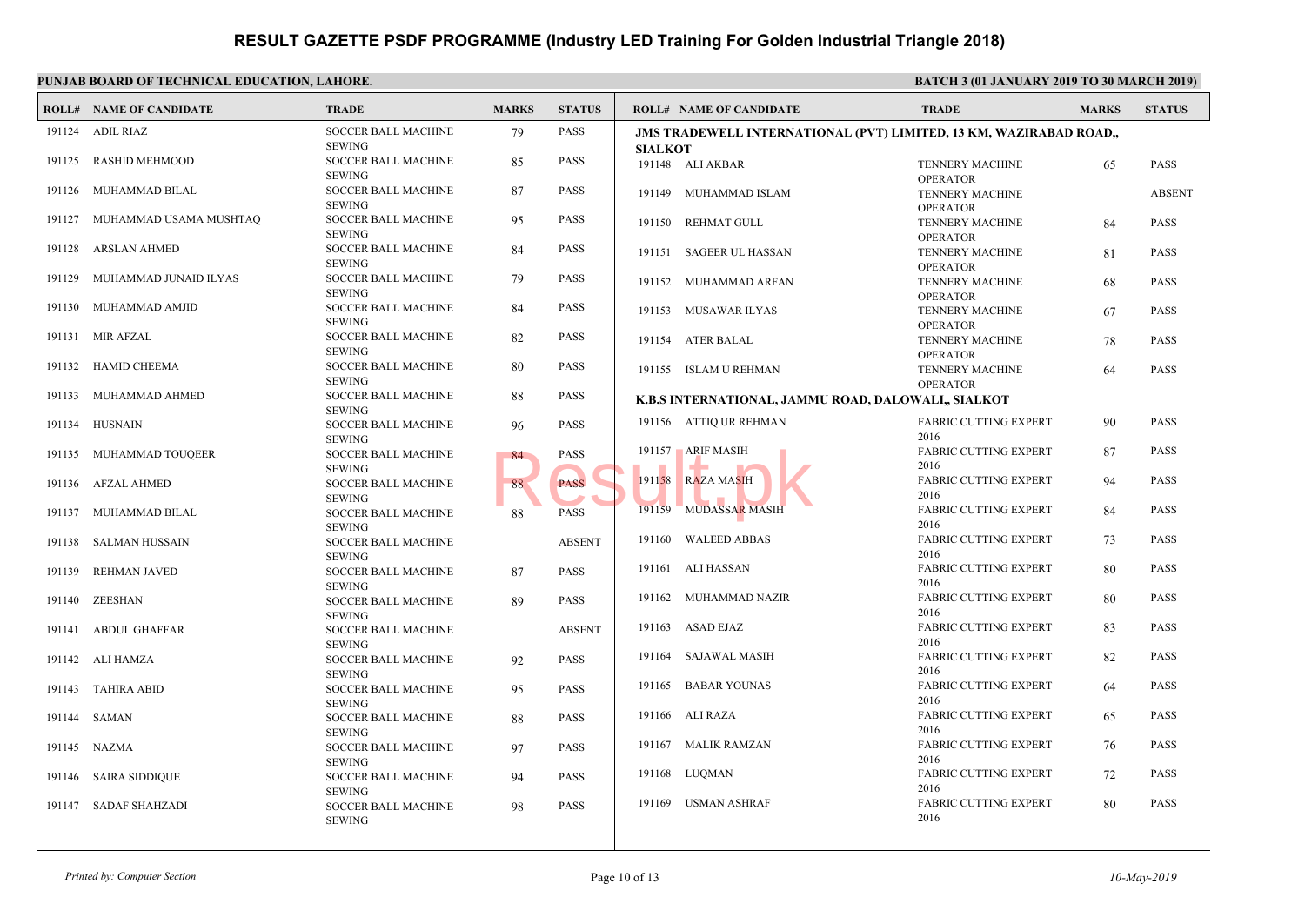| <b>ROLL# NAME OF CANDIDATE</b> | <b>TRADE</b>                                | <b>MARKS</b>    | <b>STATUS</b> |                | <b>ROLL# NAME OF CANDIDATE</b>                    | <b>TRAL</b>           |
|--------------------------------|---------------------------------------------|-----------------|---------------|----------------|---------------------------------------------------|-----------------------|
| 191124 ADIL RIAZ               | SOCCER BALL MACHINE<br>SEWING               | 79              | <b>PASS</b>   | <b>SIALKOT</b> | <b>JMS TRADEWELL INTERNATIONAL (PVT) LIMITED,</b> |                       |
| 191125 RASHID MEHMOOD          | SOCCER BALL MACHINE<br><b>SEWING</b>        | 85              | <b>PASS</b>   |                | 191148 ALI AKBAR                                  | <b>TENNI</b><br>OPER/ |
| 191126 MUHAMMAD BILAL          | SOCCER BALL MACHINE<br><b>SEWING</b>        | 87              | <b>PASS</b>   |                | 191149 MUHAMMAD ISLAM                             | <b>TENNI</b><br>OPERA |
| 191127 MUHAMMAD USAMA MUSHTAQ  | SOCCER BALL MACHINE<br><b>SEWING</b>        | 95              | <b>PASS</b>   |                | 191150 REHMAT GULL                                | <b>TENNI</b><br>OPERA |
| 191128 ARSLAN AHMED            | SOCCER BALL MACHINE<br><b>SEWING</b>        | 84              | <b>PASS</b>   |                | 191151 SAGEER UL HASSAN                           | <b>TENNI</b><br>OPERA |
| 191129 MUHAMMAD JUNAID ILYAS   | SOCCER BALL MACHINE<br><b>SEWING</b>        | 79              | <b>PASS</b>   |                | 191152 MUHAMMAD ARFAN                             | <b>TENN</b><br>OPERA  |
| 191130 MUHAMMAD AMJID          | SOCCER BALL MACHINE<br><b>SEWING</b>        | 84              | <b>PASS</b>   |                | 191153 MUSAWAR ILYAS                              | <b>TENNI</b>          |
| 191131 MIR AFZAL               | SOCCER BALL MACHINE<br><b>SEWING</b>        | 82              | <b>PASS</b>   |                | 191154 ATER BALAL                                 | OPER/<br><b>TENNI</b> |
| 191132 HAMID CHEEMA            | <b>SOCCER BALL MACHINE</b><br><b>SEWING</b> | 80              | <b>PASS</b>   |                | 191155 ISLAM U REHMAN                             | OPER/<br><b>TENN</b>  |
| 191133 MUHAMMAD AHMED          | SOCCER BALL MACHINE<br><b>SEWING</b>        | 88              | <b>PASS</b>   |                | K.B.S INTERNATIONAL, JAMMU ROAD, DALOWALI,,       | OPERA                 |
| 191134 HUSNAIN                 | <b>SOCCER BALL MACHINE</b><br><b>SEWING</b> | 96              | <b>PASS</b>   |                | 191156 ATTIQ UR REHMAN                            | FABRI<br>2016         |
| 191135 MUHAMMAD TOUQEER        | SOCCER BALL MACHINE<br><b>SEWING</b>        | 84 <sup>°</sup> | <b>PASS</b>   |                | 191157 ARIF MASIH                                 | FABRI<br>2016         |
| 191136 AFZAL AHMED             | SOCCER BALL MACHINE<br><b>SEWING</b>        | 88              | <b>PASS</b>   |                | 191158 RAZA MASIH                                 | FABRI<br>2016         |
| 191137 MUHAMMAD BILAL          | SOCCER BALL MACHINE<br><b>SEWING</b>        | 88              | <b>PASS</b>   |                | 191159 MUDASSAR MASIH                             | FABRI<br>2016         |
| 191138 SALMAN HUSSAIN          | SOCCER BALL MACHINE<br><b>SEWING</b>        |                 | <b>ABSENT</b> |                | 191160 WALEED ABBAS                               | FABRI<br>2016         |
| 191139 REHMAN JAVED            | SOCCER BALL MACHINE<br><b>SEWING</b>        | 87              | <b>PASS</b>   |                | 191161 ALI HASSAN                                 | FABRI<br>2016         |
| 191140 ZEESHAN                 | <b>SOCCER BALL MACHINE</b>                  | 89              | <b>PASS</b>   |                | 191162 MUHAMMAD NAZIR                             | FABRI<br>2016         |
| 191141 ABDUL GHAFFAR           | <b>SEWING</b><br>SOCCER BALL MACHINE        |                 | <b>ABSENT</b> |                | 191163 ASAD EJAZ                                  | FABRI<br>2016         |
| 191142 ALI HAMZA               | <b>SEWING</b><br>SOCCER BALL MACHINE        | 92              | <b>PASS</b>   |                | 191164 SAJAWAL MASIH                              | FABRI<br>2016         |
| 191143 TAHIRA ABID             | <b>SEWING</b><br>SOCCER BALL MACHINE        | 95              | <b>PASS</b>   |                | 191165 BABAR YOUNAS                               | FABRI<br>2016         |
| 191144 SAMAN                   | <b>SEWING</b><br>SOCCER BALL MACHINE        | 88              | <b>PASS</b>   |                | 191166 ALI RAZA                                   | FABRI<br>2016         |
| 191145 NAZMA                   | <b>SEWING</b><br>SOCCER BALL MACHINE        | 97              | <b>PASS</b>   |                | 191167 MALIK RAMZAN                               | FABRI<br>2016         |
| 191146 SAIRA SIDDIQUE          | <b>SEWING</b><br>SOCCER BALL MACHINE        | 94              | <b>PASS</b>   |                | 191168 LUQMAN                                     | FABRI                 |
| 191147 SADAF SHAHZADI          | <b>SEWING</b><br>SOCCER BALL MACHINE        | 98              | <b>PASS</b>   |                | 191169 USMAN ASHRAF                               | 2016<br>FABRI<br>2016 |
|                                | <b>SEWING</b>                               |                 |               |                |                                                   |                       |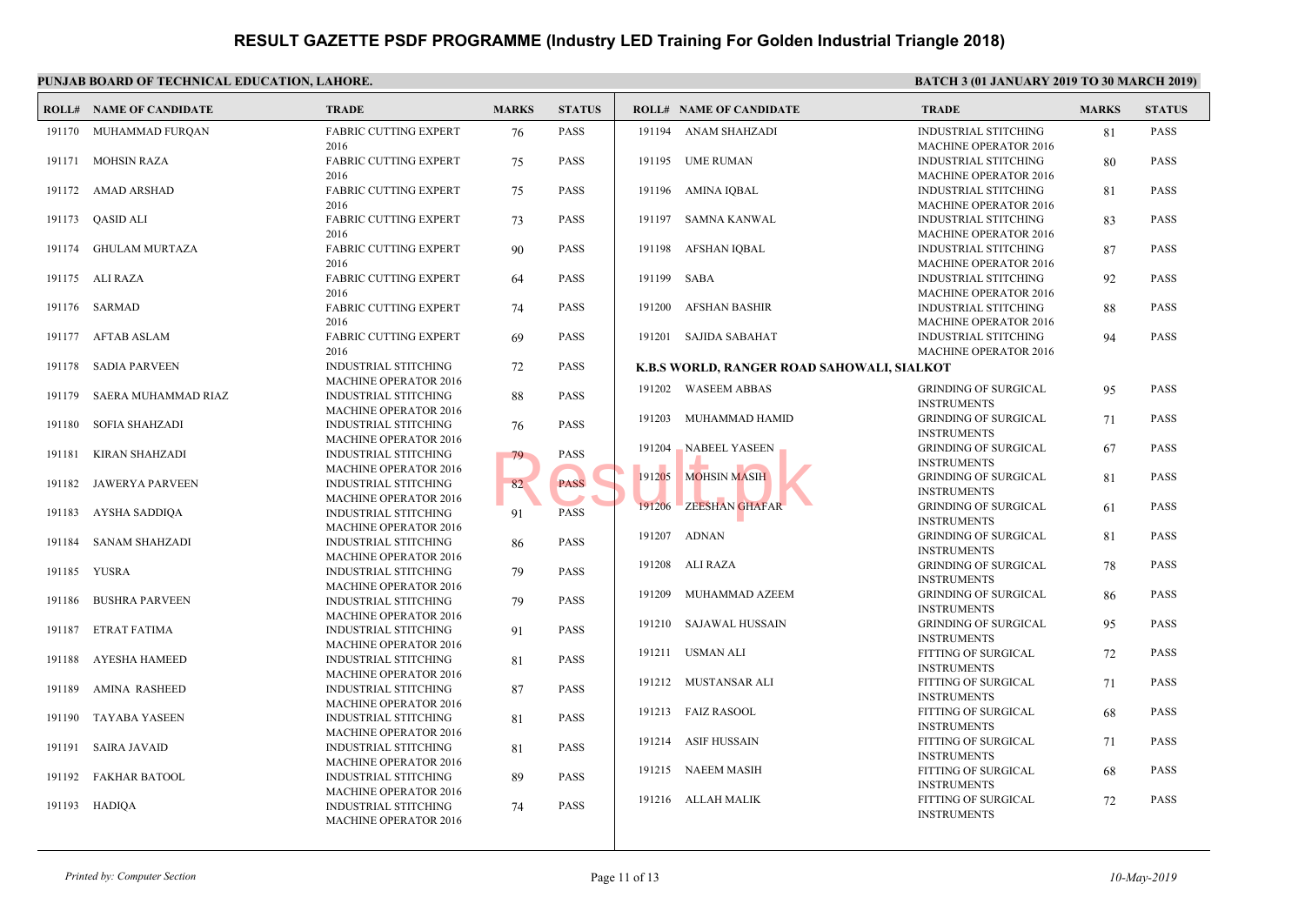|        | <b>ROLL# NAME OF CANDIDATE</b> | <b>TRADE</b>                                         | <b>MARKS</b> | <b>STATUS</b> |             | <b>ROLL# NAME OF CANDIDATE</b>             | <b>TRAL</b>                   |
|--------|--------------------------------|------------------------------------------------------|--------------|---------------|-------------|--------------------------------------------|-------------------------------|
|        | 191170 MUHAMMAD FURQAN         | <b>FABRIC CUTTING EXPERT</b>                         | 76           | <b>PASS</b>   |             | 191194 ANAM SHAHZADI                       | <b>INDUS</b>                  |
|        |                                | 2016                                                 |              |               |             |                                            | <b>MACH</b>                   |
|        | 191171 MOHSIN RAZA             | <b>FABRIC CUTTING EXPERT</b>                         | 75           | <b>PASS</b>   |             | 191195 UME RUMAN                           | <b>INDUS</b>                  |
|        |                                | 2016                                                 |              |               |             |                                            | <b>MACH</b>                   |
|        | 191172 AMAD ARSHAD             | <b>FABRIC CUTTING EXPERT</b>                         | 75           | <b>PASS</b>   |             | 191196 AMINA IQBAL                         | <b>INDUS</b>                  |
|        |                                | 2016                                                 |              |               |             |                                            | <b>MACH</b>                   |
|        | 191173 QASID ALI               | <b>FABRIC CUTTING EXPERT</b><br>2016                 | 73           | <b>PASS</b>   |             | 191197 SAMNA KANWAL                        | <b>INDUS</b><br><b>MACH</b>   |
|        | 191174 GHULAM MURTAZA          | <b>FABRIC CUTTING EXPERT</b>                         | 90           | <b>PASS</b>   |             | 191198 AFSHAN IQBAL                        | <b>INDUS</b>                  |
|        |                                | 2016                                                 |              |               |             |                                            | <b>MACH</b>                   |
|        | 191175 ALI RAZA                | <b>FABRIC CUTTING EXPERT</b>                         | 64           | <b>PASS</b>   | 191199 SABA |                                            | <b>INDUS</b>                  |
|        |                                | 2016                                                 |              |               |             |                                            | <b>MACH</b>                   |
|        | 191176 SARMAD                  | <b>FABRIC CUTTING EXPERT</b>                         | 74           | <b>PASS</b>   |             | 191200 AFSHAN BASHIR                       | <b>INDUS</b>                  |
|        |                                | 2016                                                 |              |               |             |                                            | <b>MACH</b>                   |
|        | 191177 AFTAB ASLAM             | <b>FABRIC CUTTING EXPERT</b>                         | 69           | <b>PASS</b>   |             | 191201 SAJIDA SABAHAT                      | <b>INDUS</b>                  |
|        |                                | 2016                                                 |              |               |             |                                            | <b>MACH</b>                   |
|        | 191178 SADIA PARVEEN           | <b>INDUSTRIAL STITCHING</b>                          | 72           | <b>PASS</b>   |             | K.B.S WORLD, RANGER ROAD SAHOWALI, SIALKOT |                               |
|        |                                | <b>MACHINE OPERATOR 2016</b>                         |              |               |             | 191202 WASEEM ABBAS                        | <b>GRINE</b>                  |
|        | 191179 SAERA MUHAMMAD RIAZ     | INDUSTRIAL STITCHING                                 | 88           | <b>PASS</b>   |             |                                            | <b>INSTR</b>                  |
|        |                                | <b>MACHINE OPERATOR 2016</b>                         |              |               |             | 191203 MUHAMMAD HAMID                      | <b>GRINE</b>                  |
| 191180 | SOFIA SHAHZADI                 | <b>INDUSTRIAL STITCHING</b>                          | 76           | <b>PASS</b>   |             |                                            | <b>INSTR</b>                  |
|        |                                | <b>MACHINE OPERATOR 2016</b>                         |              |               | 191204      | NABEEL YASEEN                              | <b>GRINE</b>                  |
| 191181 | KIRAN SHAHZADI                 | <b>INDUSTRIAL STITCHING</b>                          | 79           | <b>PASS</b>   |             |                                            | <b>INSTR</b>                  |
|        |                                | <b>MACHINE OPERATOR 2016</b>                         |              |               |             | 191205 MOHSIN MASIH                        | <b>GRIND</b>                  |
|        | 191182 JAWERYA PARVEEN         | <b>INDUSTRIAL STITCHING</b>                          | 82           | <b>PASS</b>   |             |                                            | <b>INSTR</b>                  |
|        |                                | <b>MACHINE OPERATOR 2016</b>                         |              |               |             | 191206 ZEESHAN GHAFAR                      | <b>GRINE</b>                  |
| 191183 | AYSHA SADDIQA                  | <b>INDUSTRIAL STITCHING</b>                          | 91           | <b>PASS</b>   |             |                                            | <b>INSTR</b>                  |
|        |                                | <b>MACHINE OPERATOR 2016</b>                         |              |               |             | 191207 ADNAN                               | <b>GRINE</b>                  |
| 191184 | <b>SANAM SHAHZADI</b>          | INDUSTRIAL STITCHING                                 | 86           | <b>PASS</b>   |             |                                            | <b>INSTR</b>                  |
|        |                                | <b>MACHINE OPERATOR 2016</b>                         |              |               |             | 191208 ALI RAZA                            | <b>GRINE</b>                  |
|        | 191185 YUSRA                   | <b>INDUSTRIAL STITCHING</b>                          | 79           | <b>PASS</b>   |             |                                            | <b>INSTR</b>                  |
| 191186 | <b>BUSHRA PARVEEN</b>          | <b>MACHINE OPERATOR 2016</b>                         |              | <b>PASS</b>   |             | 191209 MUHAMMAD AZEEM                      | <b>GRINE</b>                  |
|        |                                | INDUSTRIAL STITCHING<br><b>MACHINE OPERATOR 2016</b> | 79           |               |             |                                            | <b>INSTR</b>                  |
| 191187 | <b>ETRAT FATIMA</b>            | INDUSTRIAL STITCHING                                 | 91           | <b>PASS</b>   |             | 191210 SAJAWAL HUSSAIN                     | <b>GRINE</b>                  |
|        |                                | <b>MACHINE OPERATOR 2016</b>                         |              |               |             |                                            | <b>INSTR</b>                  |
| 191188 | AYESHA HAMEED                  | INDUSTRIAL STITCHING                                 | 81           | <b>PASS</b>   |             | 191211 USMAN ALI                           | <b>FITTIN</b>                 |
|        |                                | <b>MACHINE OPERATOR 2016</b>                         |              |               |             |                                            | <b>INSTR</b>                  |
| 191189 | <b>AMINA RASHEED</b>           | INDUSTRIAL STITCHING                                 | 87           | <b>PASS</b>   |             | 191212 MUSTANSAR ALI                       | <b>FITTIN</b>                 |
|        |                                | <b>MACHINE OPERATOR 2016</b>                         |              |               |             |                                            | <b>INSTR</b>                  |
| 191190 | TAYABA YASEEN                  | <b>INDUSTRIAL STITCHING</b>                          | 81           | <b>PASS</b>   |             | 191213 FAIZ RASOOL                         | <b>FITTIN</b>                 |
|        |                                | <b>MACHINE OPERATOR 2016</b>                         |              |               |             |                                            | <b>INSTR</b>                  |
|        | 191191 SAIRA JAVAID            | <b>INDUSTRIAL STITCHING</b>                          | 81           | <b>PASS</b>   |             | 191214 ASIF HUSSAIN                        | <b>FITTIN</b>                 |
|        |                                | <b>MACHINE OPERATOR 2016</b>                         |              |               |             |                                            | <b>INSTR</b>                  |
|        | 191192 FAKHAR BATOOL           | INDUSTRIAL STITCHING                                 | 89           | <b>PASS</b>   |             | 191215 NAEEM MASIH                         | <b>FITTIN</b>                 |
|        |                                | <b>MACHINE OPERATOR 2016</b>                         |              |               |             |                                            | <b>INSTR</b>                  |
|        | 191193 HADIQA                  | INDUSTRIAL STITCHING                                 | 74           | <b>PASS</b>   |             | 191216 ALLAH MALIK                         | <b>FITTIN</b><br><b>INSTR</b> |
|        |                                | <b>MACHINE OPERATOR 2016</b>                         |              |               |             |                                            |                               |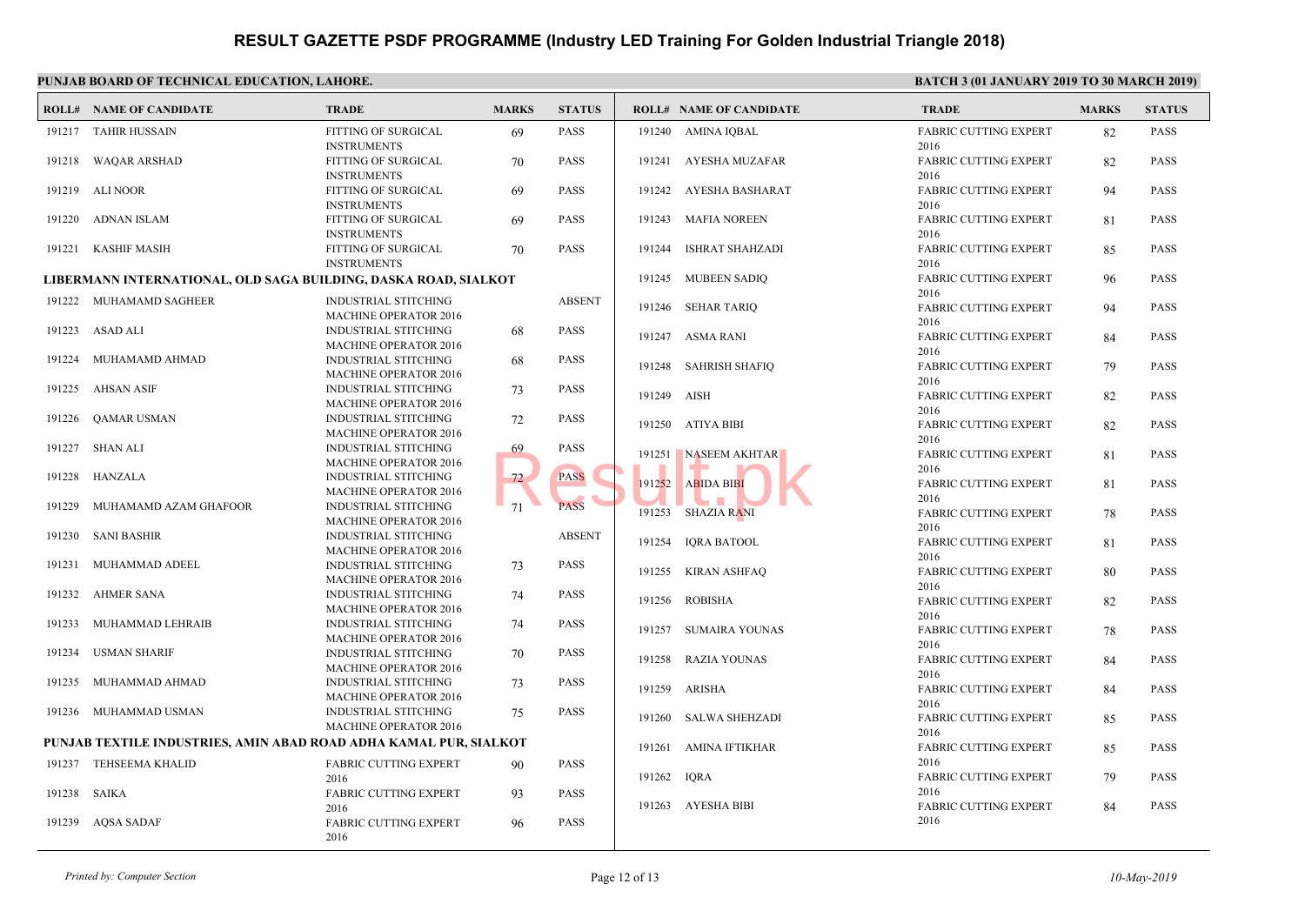#### **PUNJAB BOARD OF TECHNICAL EDUCATION, LAHORE.** BATCH 3 (01 JANUARY 30 MARCH 2019) **BATCH 3 (01 JANUARY 2019)**

|                       | <b>TRADE</b>                                                                                                                                                                                                                                                                                                                      | <b>MARKS</b>                                                                                                                                                                                                                                                                                                                                                                                                                                                                                                                                                                                                        | <b>STATUS</b>                                                                                                                        |        |                        | <b>TRAL</b>                                                                                                                                                                                                                                                                                                                                                                |
|-----------------------|-----------------------------------------------------------------------------------------------------------------------------------------------------------------------------------------------------------------------------------------------------------------------------------------------------------------------------------|---------------------------------------------------------------------------------------------------------------------------------------------------------------------------------------------------------------------------------------------------------------------------------------------------------------------------------------------------------------------------------------------------------------------------------------------------------------------------------------------------------------------------------------------------------------------------------------------------------------------|--------------------------------------------------------------------------------------------------------------------------------------|--------|------------------------|----------------------------------------------------------------------------------------------------------------------------------------------------------------------------------------------------------------------------------------------------------------------------------------------------------------------------------------------------------------------------|
|                       | FITTING OF SURGICAL                                                                                                                                                                                                                                                                                                               | 69                                                                                                                                                                                                                                                                                                                                                                                                                                                                                                                                                                                                                  | <b>PASS</b>                                                                                                                          |        |                        | <b>FABRI</b>                                                                                                                                                                                                                                                                                                                                                               |
| WAQAR ARSHAD          | FITTING OF SURGICAL                                                                                                                                                                                                                                                                                                               | 70                                                                                                                                                                                                                                                                                                                                                                                                                                                                                                                                                                                                                  | <b>PASS</b>                                                                                                                          |        |                        | 2016<br>FABRI                                                                                                                                                                                                                                                                                                                                                              |
| ALI NOOR              | FITTING OF SURGICAL                                                                                                                                                                                                                                                                                                               | 69                                                                                                                                                                                                                                                                                                                                                                                                                                                                                                                                                                                                                  | <b>PASS</b>                                                                                                                          |        |                        | 2016<br>FABRI                                                                                                                                                                                                                                                                                                                                                              |
| ADNAN ISLAM           | FITTING OF SURGICAL                                                                                                                                                                                                                                                                                                               | 69                                                                                                                                                                                                                                                                                                                                                                                                                                                                                                                                                                                                                  | <b>PASS</b>                                                                                                                          |        |                        | 2016<br>FABRI                                                                                                                                                                                                                                                                                                                                                              |
|                       | FITTING OF SURGICAL                                                                                                                                                                                                                                                                                                               | 70                                                                                                                                                                                                                                                                                                                                                                                                                                                                                                                                                                                                                  | <b>PASS</b>                                                                                                                          | 191244 | <b>ISHRAT SHAHZADI</b> | 2016<br>FABRI<br>2016                                                                                                                                                                                                                                                                                                                                                      |
|                       |                                                                                                                                                                                                                                                                                                                                   |                                                                                                                                                                                                                                                                                                                                                                                                                                                                                                                                                                                                                     |                                                                                                                                      |        |                        | FABRI                                                                                                                                                                                                                                                                                                                                                                      |
|                       | <b>INDUSTRIAL STITCHING</b>                                                                                                                                                                                                                                                                                                       |                                                                                                                                                                                                                                                                                                                                                                                                                                                                                                                                                                                                                     | <b>ABSENT</b>                                                                                                                        |        |                        | 2016<br>FABRI                                                                                                                                                                                                                                                                                                                                                              |
|                       | <b>INDUSTRIAL STITCHING</b>                                                                                                                                                                                                                                                                                                       | 68                                                                                                                                                                                                                                                                                                                                                                                                                                                                                                                                                                                                                  | <b>PASS</b>                                                                                                                          |        |                        | 2016<br>FABRI                                                                                                                                                                                                                                                                                                                                                              |
| MUHAMAMD AHMAD        | <b>INDUSTRIAL STITCHING</b>                                                                                                                                                                                                                                                                                                       | 68                                                                                                                                                                                                                                                                                                                                                                                                                                                                                                                                                                                                                  | <b>PASS</b>                                                                                                                          |        |                        | 2016<br>FABRI                                                                                                                                                                                                                                                                                                                                                              |
| AHSAN ASIF            | <b>INDUSTRIAL STITCHING</b>                                                                                                                                                                                                                                                                                                       | 73                                                                                                                                                                                                                                                                                                                                                                                                                                                                                                                                                                                                                  | <b>PASS</b>                                                                                                                          | 191249 |                        | 2016<br>FABRI                                                                                                                                                                                                                                                                                                                                                              |
| QAMAR USMAN           | <b>INDUSTRIAL STITCHING</b>                                                                                                                                                                                                                                                                                                       | 72                                                                                                                                                                                                                                                                                                                                                                                                                                                                                                                                                                                                                  | <b>PASS</b>                                                                                                                          |        |                        | 2016<br>FABRI                                                                                                                                                                                                                                                                                                                                                              |
| SHAN ALI              | <b>INDUSTRIAL STITCHING</b>                                                                                                                                                                                                                                                                                                       | 69                                                                                                                                                                                                                                                                                                                                                                                                                                                                                                                                                                                                                  | <b>PASS</b>                                                                                                                          |        |                        | 2016<br>FABRI                                                                                                                                                                                                                                                                                                                                                              |
| HANZALA               | INDUSTRIAL STITCHING                                                                                                                                                                                                                                                                                                              | 72                                                                                                                                                                                                                                                                                                                                                                                                                                                                                                                                                                                                                  | <b>PASS</b>                                                                                                                          | 191252 | <b>ABIDA BIBI</b>      | 2016<br>FABRI                                                                                                                                                                                                                                                                                                                                                              |
| MUHAMAMD AZAM GHAFOOR | INDUSTRIAL STITCHING                                                                                                                                                                                                                                                                                                              | 71                                                                                                                                                                                                                                                                                                                                                                                                                                                                                                                                                                                                                  | <b>PASS</b>                                                                                                                          |        |                        | 2016<br><b>FABRI</b>                                                                                                                                                                                                                                                                                                                                                       |
| SANI BASHIR           | INDUSTRIAL STITCHING                                                                                                                                                                                                                                                                                                              |                                                                                                                                                                                                                                                                                                                                                                                                                                                                                                                                                                                                                     | <b>ABSENT</b>                                                                                                                        | 191254 | <b>IQRA BATOOL</b>     | 2016<br><b>FABRI</b>                                                                                                                                                                                                                                                                                                                                                       |
| MUHAMMAD ADEEL        | INDUSTRIAL STITCHING                                                                                                                                                                                                                                                                                                              | 73                                                                                                                                                                                                                                                                                                                                                                                                                                                                                                                                                                                                                  | <b>PASS</b>                                                                                                                          | 191255 |                        | 2016<br>FABRI                                                                                                                                                                                                                                                                                                                                                              |
| AHMER SANA            | INDUSTRIAL STITCHING                                                                                                                                                                                                                                                                                                              | 74                                                                                                                                                                                                                                                                                                                                                                                                                                                                                                                                                                                                                  | <b>PASS</b>                                                                                                                          | 191256 | <b>ROBISHA</b>         | 2016<br><b>FABRI</b>                                                                                                                                                                                                                                                                                                                                                       |
| MUHAMMAD LEHRAIB      | <b>INDUSTRIAL STITCHING</b>                                                                                                                                                                                                                                                                                                       | 74                                                                                                                                                                                                                                                                                                                                                                                                                                                                                                                                                                                                                  | <b>PASS</b>                                                                                                                          | 191257 | SUMAIRA YOUNAS         | 2016<br>FABRI                                                                                                                                                                                                                                                                                                                                                              |
| <b>USMAN SHARIF</b>   | <b>INDUSTRIAL STITCHING</b>                                                                                                                                                                                                                                                                                                       | 70                                                                                                                                                                                                                                                                                                                                                                                                                                                                                                                                                                                                                  | <b>PASS</b>                                                                                                                          | 191258 | RAZIA YOUNAS           | 2016<br>FABRI                                                                                                                                                                                                                                                                                                                                                              |
| MUHAMMAD AHMAD        | <b>INDUSTRIAL STITCHING</b>                                                                                                                                                                                                                                                                                                       | 73                                                                                                                                                                                                                                                                                                                                                                                                                                                                                                                                                                                                                  | <b>PASS</b>                                                                                                                          | 191259 | ARISHA                 | 2016<br>FABRI                                                                                                                                                                                                                                                                                                                                                              |
|                       | <b>INDUSTRIAL STITCHING</b>                                                                                                                                                                                                                                                                                                       | 75                                                                                                                                                                                                                                                                                                                                                                                                                                                                                                                                                                                                                  | <b>PASS</b>                                                                                                                          | 191260 | SALWA SHEHZADI         | 2016<br>FABRI                                                                                                                                                                                                                                                                                                                                                              |
|                       |                                                                                                                                                                                                                                                                                                                                   |                                                                                                                                                                                                                                                                                                                                                                                                                                                                                                                                                                                                                     |                                                                                                                                      |        |                        | 2016<br>FABRI                                                                                                                                                                                                                                                                                                                                                              |
|                       | <b>FABRIC CUTTING EXPERT</b>                                                                                                                                                                                                                                                                                                      | 90                                                                                                                                                                                                                                                                                                                                                                                                                                                                                                                                                                                                                  | <b>PASS</b>                                                                                                                          |        |                        | 2016<br>FABRI                                                                                                                                                                                                                                                                                                                                                              |
|                       | <b>FABRIC CUTTING EXPERT</b>                                                                                                                                                                                                                                                                                                      | 93                                                                                                                                                                                                                                                                                                                                                                                                                                                                                                                                                                                                                  | <b>PASS</b>                                                                                                                          |        |                        | 2016                                                                                                                                                                                                                                                                                                                                                                       |
|                       | <b>FABRIC CUTTING EXPERT</b><br>2016                                                                                                                                                                                                                                                                                              | 96                                                                                                                                                                                                                                                                                                                                                                                                                                                                                                                                                                                                                  | <b>PASS</b>                                                                                                                          |        |                        | FABRI<br>2016                                                                                                                                                                                                                                                                                                                                                              |
|                       | <b>ROLL# NAME OF CANDIDATE</b><br>191217 TAHIR HUSSAIN<br>191218<br>191219<br>191220<br>191221 KASHIF MASIH<br>191222 MUHAMAMD SAGHEER<br>191223 ASAD ALI<br>191224<br>191225<br>191226<br>191227<br>191228<br>191230<br>191232<br>191234<br>191236 MUHAMMAD USMAN<br>191237 TEHSEEMA KHALID<br>191238 SAIKA<br>191239 AOSA SADAF | <b>INSTRUMENTS</b><br><b>INSTRUMENTS</b><br><b>INSTRUMENTS</b><br><b>INSTRUMENTS</b><br><b>INSTRUMENTS</b><br>MACHINE OPERATOR 2016<br><b>MACHINE OPERATOR 2016</b><br><b>MACHINE OPERATOR 2016</b><br><b>MACHINE OPERATOR 2016</b><br><b>MACHINE OPERATOR 2016</b><br><b>MACHINE OPERATOR 2016</b><br><b>MACHINE OPERATOR 2016</b><br><b>MACHINE OPERATOR 2016</b><br><b>MACHINE OPERATOR 2016</b><br><b>MACHINE OPERATOR 2016</b><br><b>MACHINE OPERATOR 2016</b><br><b>MACHINE OPERATOR 2016</b><br><b>MACHINE OPERATOR 2016</b><br><b>MACHINE OPERATOR 2016</b><br><b>MACHINE OPERATOR 2016</b><br>2016<br>2016 | LIBERMANN INTERNATIONAL, OLD SAGA BUILDING, DASKA ROAD, SIALKOT<br>PUNJAB TEXTILE INDUSTRIES, AMIN ABAD ROAD ADHA KAMAL PUR, SIALKOT |        | 191262                 | <b>ROLL# NAME OF CANDIDATE</b><br>191240 AMINA IQBAL<br>191241 AYESHA MUZAFAR<br>191242 AYESHA BASHARAT<br>191243 MAFIA NOREEN<br>191245 MUBEEN SADIQ<br>191246 SEHAR TARIQ<br>191247 ASMA RANI<br>191248 SAHRISH SHAFIQ<br>AISH<br>191250 ATIYA BIBI<br>191251 NASEEM AKHTAR<br>191253 SHAZIA RANI<br>KIRAN ASHFAQ<br>191261 AMINA IFTIKHAR<br>IQRA<br>191263 AYESHA BIBI |